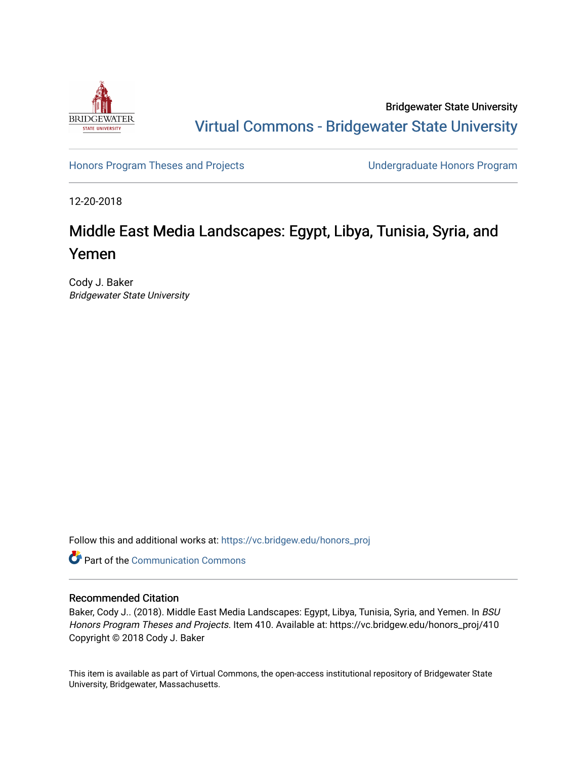

Bridgewater State University [Virtual Commons - Bridgewater State University](https://vc.bridgew.edu/) 

[Honors Program Theses and Projects](https://vc.bridgew.edu/honors_proj) [Undergraduate Honors Program](https://vc.bridgew.edu/honors) 

12-20-2018

# Middle East Media Landscapes: Egypt, Libya, Tunisia, Syria, and Yemen

Cody J. Baker Bridgewater State University

Follow this and additional works at: [https://vc.bridgew.edu/honors\\_proj](https://vc.bridgew.edu/honors_proj?utm_source=vc.bridgew.edu%2Fhonors_proj%2F410&utm_medium=PDF&utm_campaign=PDFCoverPages)

**C** Part of the Communication Commons

## Recommended Citation

Baker, Cody J.. (2018). Middle East Media Landscapes: Egypt, Libya, Tunisia, Syria, and Yemen. In BSU Honors Program Theses and Projects. Item 410. Available at: https://vc.bridgew.edu/honors\_proj/410 Copyright © 2018 Cody J. Baker

This item is available as part of Virtual Commons, the open-access institutional repository of Bridgewater State University, Bridgewater, Massachusetts.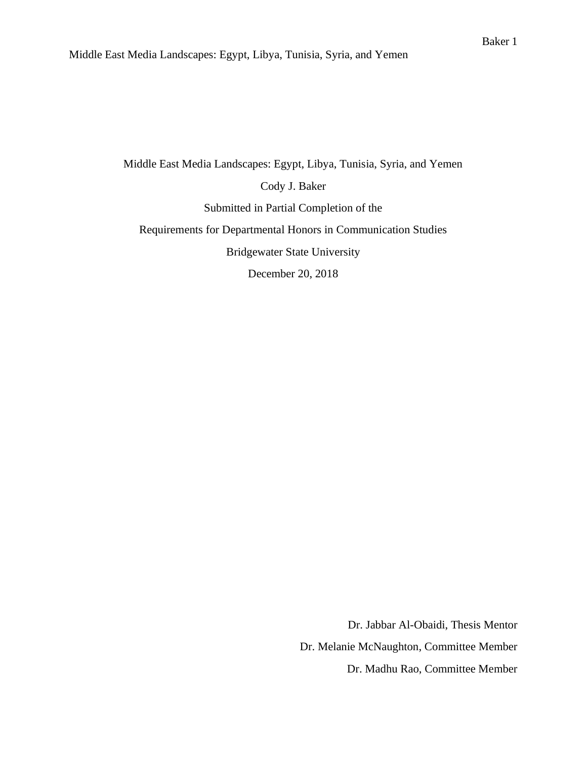Middle East Media Landscapes: Egypt, Libya, Tunisia, Syria, and Yemen Cody J. Baker Submitted in Partial Completion of the Requirements for Departmental Honors in Communication Studies Bridgewater State University

December 20, 2018

Dr. Jabbar Al-Obaidi, Thesis Mentor Dr. Melanie McNaughton, Committee Member Dr. Madhu Rao, Committee Member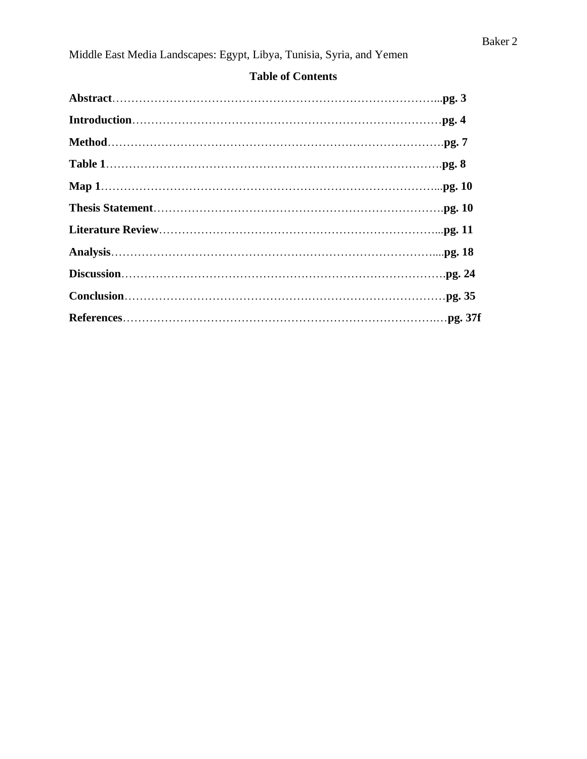| <b>Exercise of Contents</b> |  |
|-----------------------------|--|
|                             |  |
|                             |  |
|                             |  |
|                             |  |
|                             |  |

**Thesis Statement**………………………………………………………………….**pg. 10**

**Literature Review**………………………………………………………………...**pg. 11**

**Analysis**…………………………………………………………………………....**pg. 18**

**Discussion**………………………………………………………………………….**pg. 24**

**Conclusion**…………………………………………………………………………**pg. 35**

**References**……………………………………………………………………….…**pg. 37f**

# **Table of Contents**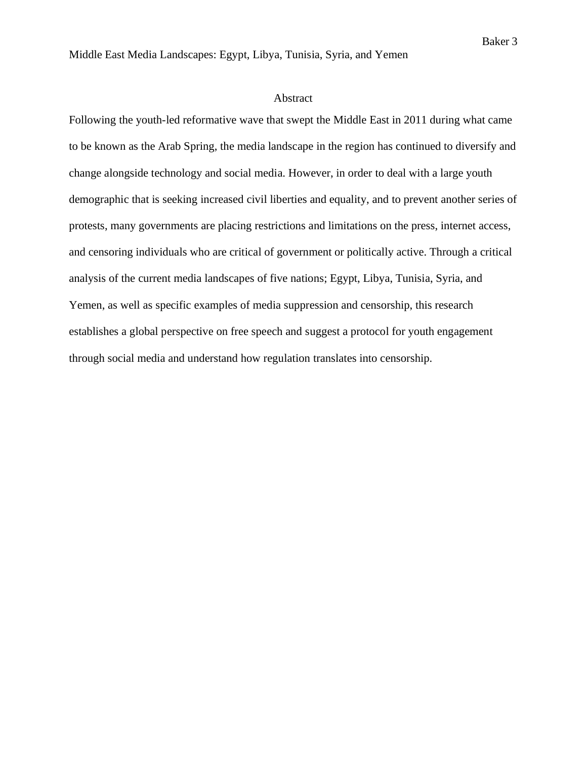### Abstract

Following the youth-led reformative wave that swept the Middle East in 2011 during what came to be known as the Arab Spring, the media landscape in the region has continued to diversify and change alongside technology and social media. However, in order to deal with a large youth demographic that is seeking increased civil liberties and equality, and to prevent another series of protests, many governments are placing restrictions and limitations on the press, internet access, and censoring individuals who are critical of government or politically active. Through a critical analysis of the current media landscapes of five nations; Egypt, Libya, Tunisia, Syria, and Yemen, as well as specific examples of media suppression and censorship, this research establishes a global perspective on free speech and suggest a protocol for youth engagement through social media and understand how regulation translates into censorship.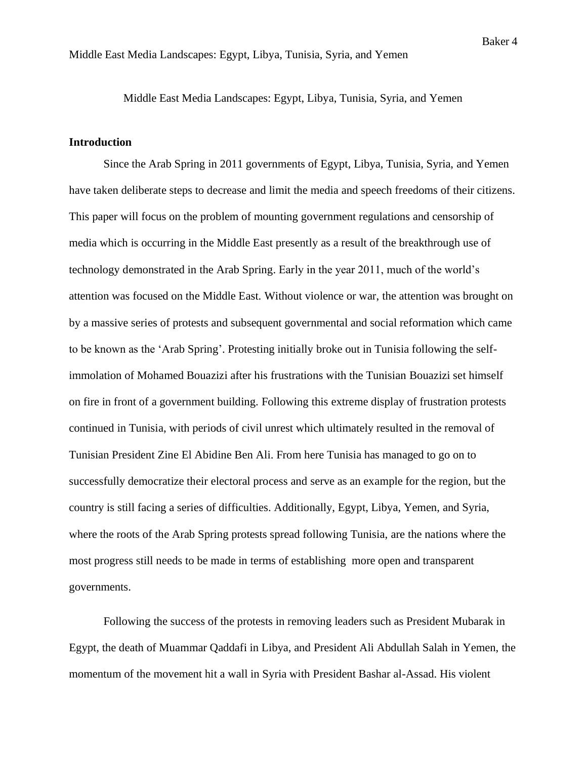## **Introduction**

Since the Arab Spring in 2011 governments of Egypt, Libya, Tunisia, Syria, and Yemen have taken deliberate steps to decrease and limit the media and speech freedoms of their citizens. This paper will focus on the problem of mounting government regulations and censorship of media which is occurring in the Middle East presently as a result of the breakthrough use of technology demonstrated in the Arab Spring. Early in the year 2011, much of the world's attention was focused on the Middle East. Without violence or war, the attention was brought on by a massive series of protests and subsequent governmental and social reformation which came to be known as the 'Arab Spring'. Protesting initially broke out in Tunisia following the selfimmolation of Mohamed Bouazizi after his frustrations with the Tunisian Bouazizi set himself on fire in front of a government building. Following this extreme display of frustration protests continued in Tunisia, with periods of civil unrest which ultimately resulted in the removal of Tunisian President Zine El Abidine Ben Ali. From here Tunisia has managed to go on to successfully democratize their electoral process and serve as an example for the region, but the country is still facing a series of difficulties. Additionally, Egypt, Libya, Yemen, and Syria, where the roots of the Arab Spring protests spread following Tunisia, are the nations where the most progress still needs to be made in terms of establishing more open and transparent governments.

Following the success of the protests in removing leaders such as President Mubarak in Egypt, the death of Muammar Qaddafi in Libya, and President Ali Abdullah Salah in Yemen, the momentum of the movement hit a wall in Syria with President Bashar al-Assad. His violent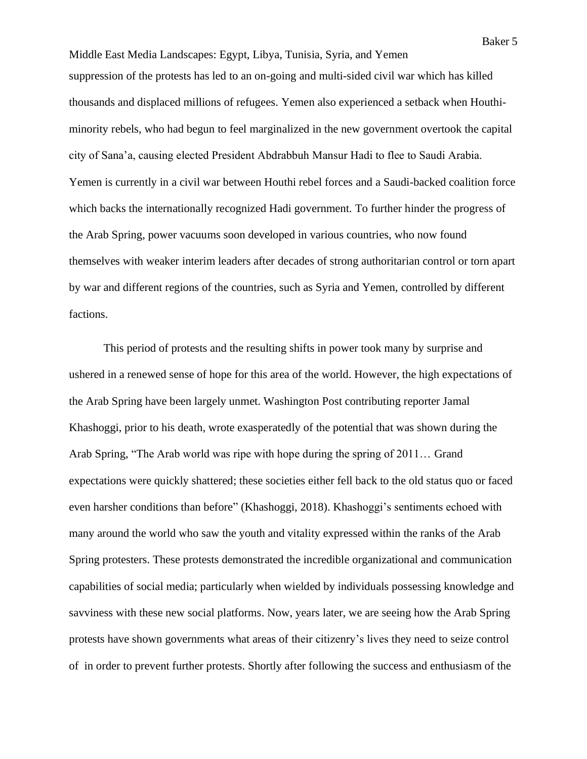Middle East Media Landscapes: Egypt, Libya, Tunisia, Syria, and Yemen suppression of the protests has led to an on-going and multi-sided civil war which has killed thousands and displaced millions of refugees. Yemen also experienced a setback when Houthiminority rebels, who had begun to feel marginalized in the new government overtook the capital city of Sana'a, causing elected President Abdrabbuh Mansur Hadi to flee to Saudi Arabia. Yemen is currently in a civil war between Houthi rebel forces and a Saudi-backed coalition force which backs the internationally recognized Hadi government. To further hinder the progress of the Arab Spring, power vacuums soon developed in various countries, who now found themselves with weaker interim leaders after decades of strong authoritarian control or torn apart by war and different regions of the countries, such as Syria and Yemen, controlled by different factions.

This period of protests and the resulting shifts in power took many by surprise and ushered in a renewed sense of hope for this area of the world. However, the high expectations of the Arab Spring have been largely unmet. Washington Post contributing reporter Jamal Khashoggi, prior to his death, wrote exasperatedly of the potential that was shown during the Arab Spring, "The Arab world was ripe with hope during the spring of 2011… Grand expectations were quickly shattered; these societies either fell back to the old status quo or faced even harsher conditions than before" (Khashoggi, 2018). Khashoggi's sentiments echoed with many around the world who saw the youth and vitality expressed within the ranks of the Arab Spring protesters. These protests demonstrated the incredible organizational and communication capabilities of social media; particularly when wielded by individuals possessing knowledge and savviness with these new social platforms. Now, years later, we are seeing how the Arab Spring protests have shown governments what areas of their citizenry's lives they need to seize control of in order to prevent further protests. Shortly after following the success and enthusiasm of the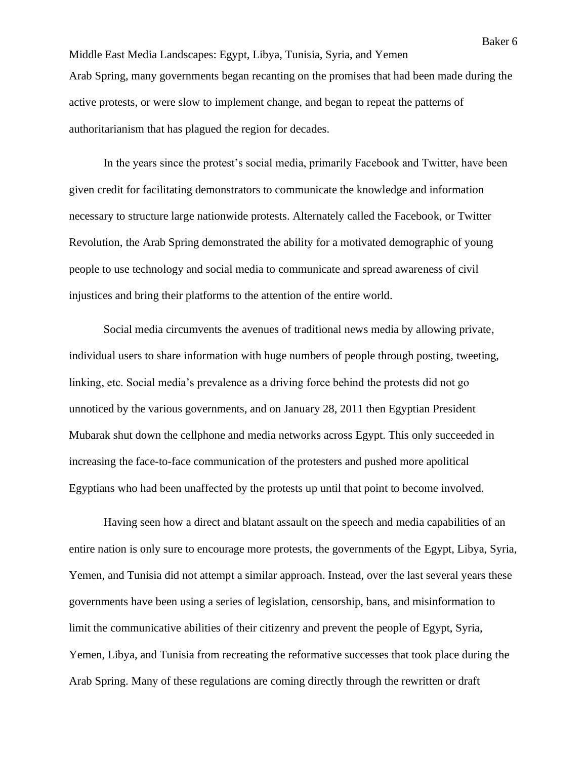Middle East Media Landscapes: Egypt, Libya, Tunisia, Syria, and Yemen Arab Spring, many governments began recanting on the promises that had been made during the active protests, or were slow to implement change, and began to repeat the patterns of authoritarianism that has plagued the region for decades.

In the years since the protest's social media, primarily Facebook and Twitter, have been given credit for facilitating demonstrators to communicate the knowledge and information necessary to structure large nationwide protests. Alternately called the Facebook, or Twitter Revolution, the Arab Spring demonstrated the ability for a motivated demographic of young people to use technology and social media to communicate and spread awareness of civil injustices and bring their platforms to the attention of the entire world.

Social media circumvents the avenues of traditional news media by allowing private, individual users to share information with huge numbers of people through posting, tweeting, linking, etc. Social media's prevalence as a driving force behind the protests did not go unnoticed by the various governments, and on January 28, 2011 then Egyptian President Mubarak shut down the cellphone and media networks across Egypt. This only succeeded in increasing the face-to-face communication of the protesters and pushed more apolitical Egyptians who had been unaffected by the protests up until that point to become involved.

Having seen how a direct and blatant assault on the speech and media capabilities of an entire nation is only sure to encourage more protests, the governments of the Egypt, Libya, Syria, Yemen, and Tunisia did not attempt a similar approach. Instead, over the last several years these governments have been using a series of legislation, censorship, bans, and misinformation to limit the communicative abilities of their citizenry and prevent the people of Egypt, Syria, Yemen, Libya, and Tunisia from recreating the reformative successes that took place during the Arab Spring. Many of these regulations are coming directly through the rewritten or draft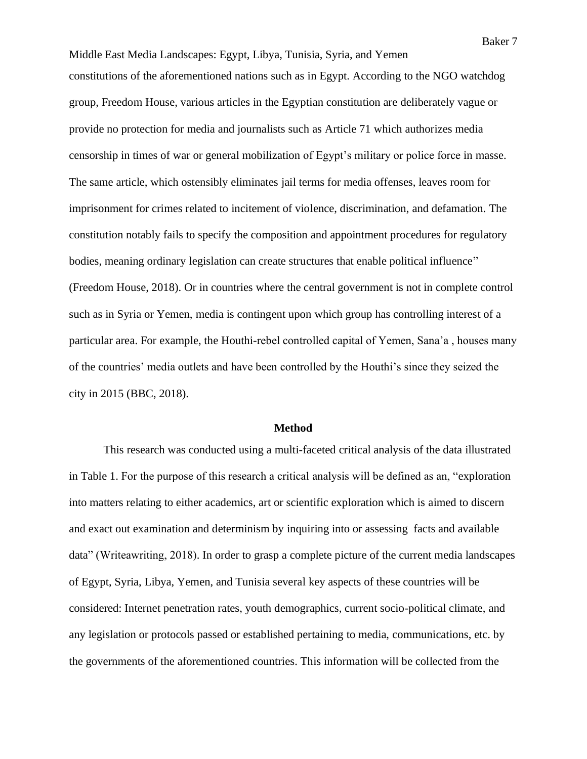Middle East Media Landscapes: Egypt, Libya, Tunisia, Syria, and Yemen constitutions of the aforementioned nations such as in Egypt. According to the NGO watchdog group, Freedom House, various articles in the Egyptian constitution are deliberately vague or provide no protection for media and journalists such as Article 71 which authorizes media censorship in times of war or general mobilization of Egypt's military or police force in masse. The same article, which ostensibly eliminates jail terms for media offenses, leaves room for imprisonment for crimes related to incitement of violence, discrimination, and defamation. The constitution notably fails to specify the composition and appointment procedures for regulatory bodies, meaning ordinary legislation can create structures that enable political influence" (Freedom House, 2018). Or in countries where the central government is not in complete control such as in Syria or Yemen, media is contingent upon which group has controlling interest of a particular area. For example, the Houthi-rebel controlled capital of Yemen, Sana'a , houses many of the countries' media outlets and have been controlled by the Houthi's since they seized the city in 2015 (BBC, 2018).

### **Method**

This research was conducted using a multi-faceted critical analysis of the data illustrated in Table 1. For the purpose of this research a critical analysis will be defined as an, "exploration into matters relating to either academics, art or scientific exploration which is aimed to discern and exact out examination and determinism by inquiring into or assessing facts and available data" (Writeawriting, 2018). In order to grasp a complete picture of the current media landscapes of Egypt, Syria, Libya, Yemen, and Tunisia several key aspects of these countries will be considered: Internet penetration rates, youth demographics, current socio-political climate, and any legislation or protocols passed or established pertaining to media, communications, etc. by the governments of the aforementioned countries. This information will be collected from the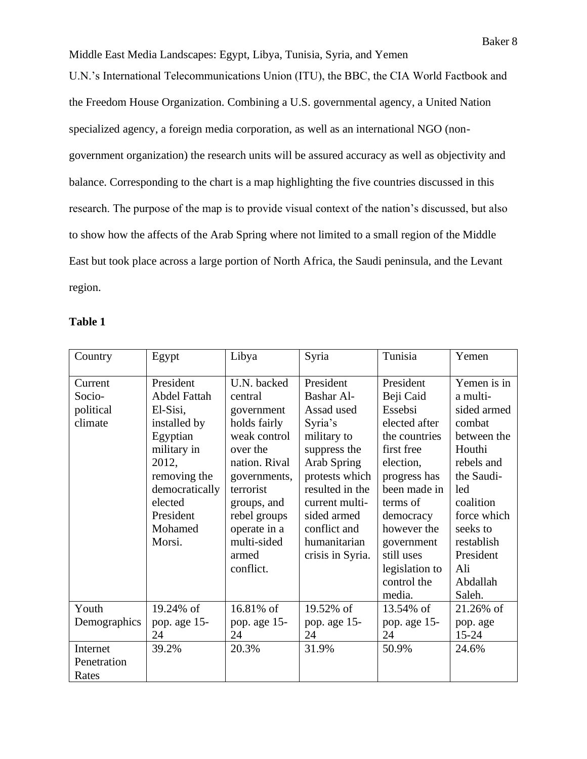Middle East Media Landscapes: Egypt, Libya, Tunisia, Syria, and Yemen U.N.'s International Telecommunications Union (ITU), the BBC, the CIA World Factbook and the Freedom House Organization. Combining a U.S. governmental agency, a United Nation specialized agency, a foreign media corporation, as well as an international NGO (nongovernment organization) the research units will be assured accuracy as well as objectivity and balance. Corresponding to the chart is a map highlighting the five countries discussed in this research. The purpose of the map is to provide visual context of the nation's discussed, but also to show how the affects of the Arab Spring where not limited to a small region of the Middle East but took place across a large portion of North Africa, the Saudi peninsula, and the Levant region.

## **Table 1**

| Country      | Egypt               | Libya         | Syria             | Tunisia        | Yemen       |
|--------------|---------------------|---------------|-------------------|----------------|-------------|
|              |                     |               |                   |                |             |
| Current      | President           | U.N. backed   | President         | President      | Yemen is in |
| Socio-       | <b>Abdel Fattah</b> | central       | <b>Bashar Al-</b> | Beji Caid      | a multi-    |
| political    | El-Sisi,            | government    | Assad used        | Essebsi        | sided armed |
| climate      | installed by        | holds fairly  | Syria's           | elected after  | combat      |
|              | Egyptian            | weak control  | military to       | the countries  | between the |
|              | military in         | over the      | suppress the      | first free     | Houthi      |
|              | 2012,               | nation. Rival | Arab Spring       | election,      | rebels and  |
|              | removing the        | governments,  | protests which    | progress has   | the Saudi-  |
|              | democratically      | terrorist     | resulted in the   | been made in   | led         |
|              | elected             | groups, and   | current multi-    | terms of       | coalition   |
|              | President           | rebel groups  | sided armed       | democracy      | force which |
|              | Mohamed             | operate in a  | conflict and      | however the    | seeks to    |
|              | Morsi.              | multi-sided   | humanitarian      | government     | restablish  |
|              |                     | armed         | crisis in Syria.  | still uses     | President   |
|              |                     | conflict.     |                   | legislation to | Ali         |
|              |                     |               |                   | control the    | Abdallah    |
|              |                     |               |                   | media.         | Saleh.      |
| Youth        | 19.24% of           | 16.81% of     | 19.52% of         | 13.54% of      | 21.26% of   |
| Demographics | pop. age 15-        | pop. age 15-  | pop. age 15-      | pop. age 15-   | pop. age    |
|              | 24                  | 24            | 24                | 24             | $15 - 24$   |
| Internet     | 39.2%               | 20.3%         | 31.9%             | 50.9%          | 24.6%       |
| Penetration  |                     |               |                   |                |             |
| Rates        |                     |               |                   |                |             |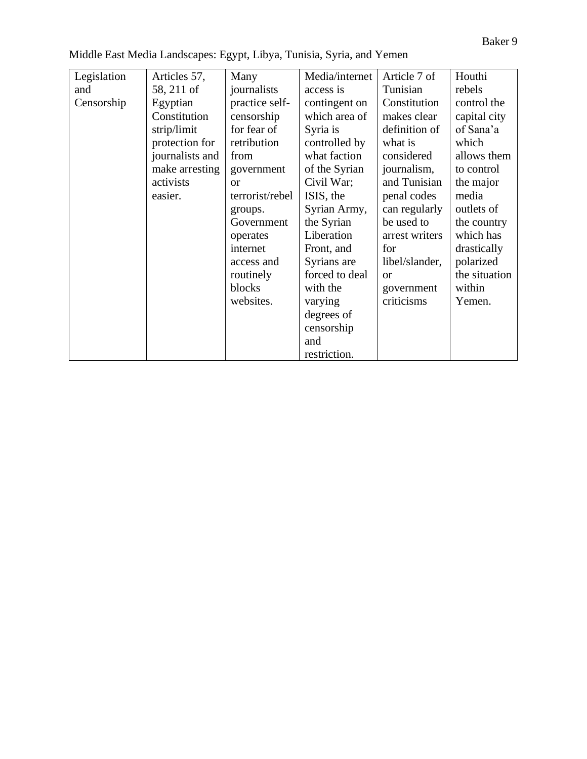| Middle East Media Landscapes: Egypt, Libya, Tunisia, Syria, and Yemen |
|-----------------------------------------------------------------------|
|-----------------------------------------------------------------------|

| Legislation | Articles 57,    | Many            | Media/internet | Article 7 of   | Houthi        |
|-------------|-----------------|-----------------|----------------|----------------|---------------|
| and         | 58, 211 of      | journalists     | access is      | Tunisian       | rebels        |
| Censorship  | Egyptian        | practice self-  | contingent on  | Constitution   | control the   |
|             | Constitution    | censorship      | which area of  | makes clear    | capital city  |
|             | strip/limit     | for fear of     | Syria is       | definition of  | of Sana'a     |
|             | protection for  | retribution     | controlled by  | what is        | which         |
|             | journalists and | from            | what faction   | considered     | allows them   |
|             | make arresting  | government      | of the Syrian  | journalism,    | to control    |
|             | activists       | <sub>or</sub>   | Civil War;     | and Tunisian   | the major     |
|             | easier.         | terrorist/rebel | ISIS, the      | penal codes    | media         |
|             |                 | groups.         | Syrian Army,   | can regularly  | outlets of    |
|             |                 | Government      | the Syrian     | be used to     | the country   |
|             |                 | operates        | Liberation     | arrest writers | which has     |
|             |                 | internet        | Front, and     | for            | drastically   |
|             |                 | access and      | Syrians are    | libel/slander, | polarized     |
|             |                 | routinely       | forced to deal | <sub>or</sub>  | the situation |
|             |                 | blocks          | with the       | government     | within        |
|             |                 | websites.       | varying        | criticisms     | Yemen.        |
|             |                 |                 | degrees of     |                |               |
|             |                 |                 | censorship     |                |               |
|             |                 |                 | and            |                |               |
|             |                 |                 | restriction.   |                |               |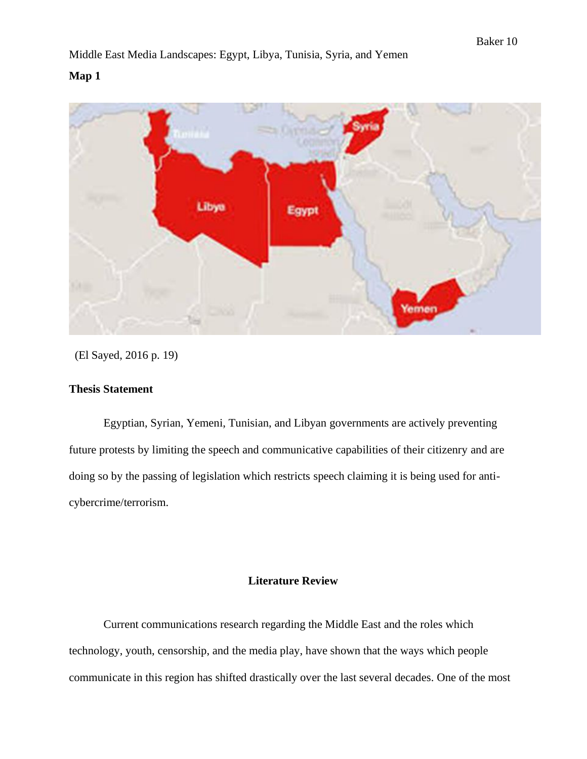## **Map 1**



(El Sayed, 2016 p. 19)

## **Thesis Statement**

Egyptian, Syrian, Yemeni, Tunisian, and Libyan governments are actively preventing future protests by limiting the speech and communicative capabilities of their citizenry and are doing so by the passing of legislation which restricts speech claiming it is being used for anticybercrime/terrorism.

## **Literature Review**

Current communications research regarding the Middle East and the roles which technology, youth, censorship, and the media play, have shown that the ways which people communicate in this region has shifted drastically over the last several decades. One of the most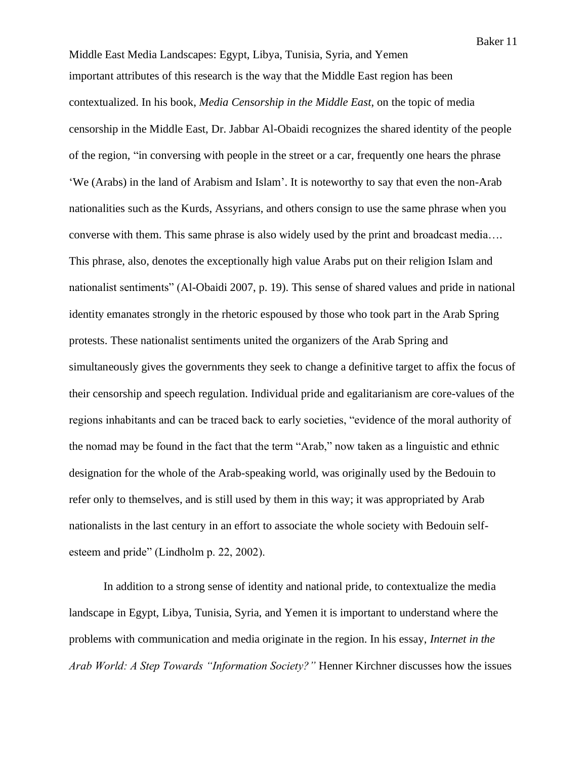Middle East Media Landscapes: Egypt, Libya, Tunisia, Syria, and Yemen important attributes of this research is the way that the Middle East region has been contextualized. In his book, *Media Censorship in the Middle East*, on the topic of media censorship in the Middle East, Dr. Jabbar Al-Obaidi recognizes the shared identity of the people of the region, "in conversing with people in the street or a car, frequently one hears the phrase 'We (Arabs) in the land of Arabism and Islam'. It is noteworthy to say that even the non-Arab nationalities such as the Kurds, Assyrians, and others consign to use the same phrase when you converse with them. This same phrase is also widely used by the print and broadcast media…. This phrase, also, denotes the exceptionally high value Arabs put on their religion Islam and nationalist sentiments" (Al-Obaidi 2007, p. 19). This sense of shared values and pride in national identity emanates strongly in the rhetoric espoused by those who took part in the Arab Spring protests. These nationalist sentiments united the organizers of the Arab Spring and simultaneously gives the governments they seek to change a definitive target to affix the focus of their censorship and speech regulation. Individual pride and egalitarianism are core-values of the regions inhabitants and can be traced back to early societies, "evidence of the moral authority of the nomad may be found in the fact that the term "Arab," now taken as a linguistic and ethnic designation for the whole of the Arab-speaking world, was originally used by the Bedouin to refer only to themselves, and is still used by them in this way; it was appropriated by Arab nationalists in the last century in an effort to associate the whole society with Bedouin selfesteem and pride" (Lindholm p. 22, 2002).

In addition to a strong sense of identity and national pride, to contextualize the media landscape in Egypt, Libya, Tunisia, Syria, and Yemen it is important to understand where the problems with communication and media originate in the region. In his essay, *Internet in the Arab World: A Step Towards "Information Society?"* Henner Kirchner discusses how the issues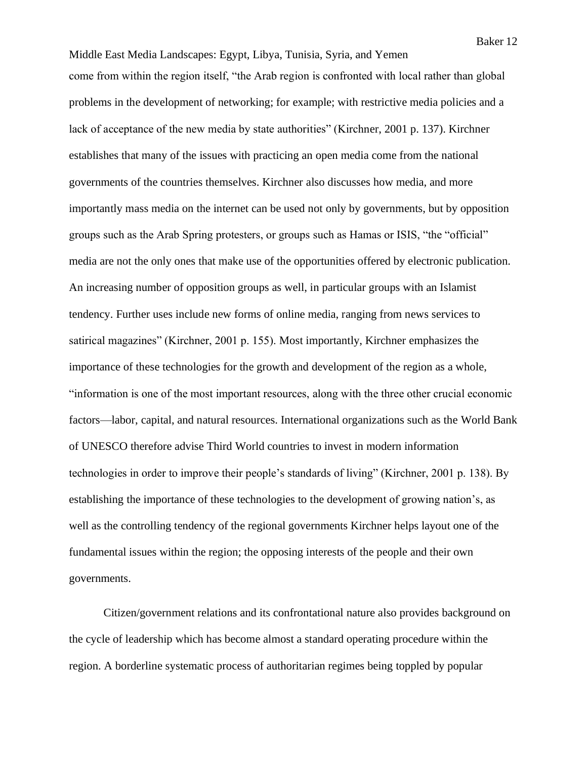Middle East Media Landscapes: Egypt, Libya, Tunisia, Syria, and Yemen come from within the region itself, "the Arab region is confronted with local rather than global problems in the development of networking; for example; with restrictive media policies and a lack of acceptance of the new media by state authorities" (Kirchner, 2001 p. 137). Kirchner establishes that many of the issues with practicing an open media come from the national governments of the countries themselves. Kirchner also discusses how media, and more importantly mass media on the internet can be used not only by governments, but by opposition groups such as the Arab Spring protesters, or groups such as Hamas or ISIS, "the "official" media are not the only ones that make use of the opportunities offered by electronic publication. An increasing number of opposition groups as well, in particular groups with an Islamist tendency. Further uses include new forms of online media, ranging from news services to satirical magazines" (Kirchner, 2001 p. 155). Most importantly, Kirchner emphasizes the importance of these technologies for the growth and development of the region as a whole, "information is one of the most important resources, along with the three other crucial economic factors—labor, capital, and natural resources. International organizations such as the World Bank of UNESCO therefore advise Third World countries to invest in modern information technologies in order to improve their people's standards of living" (Kirchner, 2001 p. 138). By establishing the importance of these technologies to the development of growing nation's, as

well as the controlling tendency of the regional governments Kirchner helps layout one of the fundamental issues within the region; the opposing interests of the people and their own governments.

Citizen/government relations and its confrontational nature also provides background on the cycle of leadership which has become almost a standard operating procedure within the region. A borderline systematic process of authoritarian regimes being toppled by popular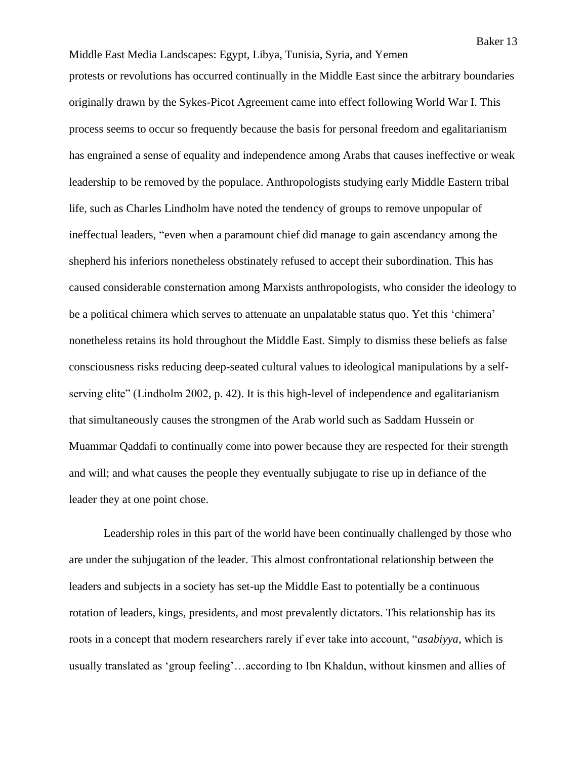Middle East Media Landscapes: Egypt, Libya, Tunisia, Syria, and Yemen protests or revolutions has occurred continually in the Middle East since the arbitrary boundaries originally drawn by the Sykes-Picot Agreement came into effect following World War I. This process seems to occur so frequently because the basis for personal freedom and egalitarianism has engrained a sense of equality and independence among Arabs that causes ineffective or weak leadership to be removed by the populace. Anthropologists studying early Middle Eastern tribal life, such as Charles Lindholm have noted the tendency of groups to remove unpopular of ineffectual leaders, "even when a paramount chief did manage to gain ascendancy among the shepherd his inferiors nonetheless obstinately refused to accept their subordination. This has caused considerable consternation among Marxists anthropologists, who consider the ideology to be a political chimera which serves to attenuate an unpalatable status quo. Yet this 'chimera' nonetheless retains its hold throughout the Middle East. Simply to dismiss these beliefs as false consciousness risks reducing deep-seated cultural values to ideological manipulations by a selfserving elite" (Lindholm 2002, p. 42). It is this high-level of independence and egalitarianism that simultaneously causes the strongmen of the Arab world such as Saddam Hussein or Muammar Qaddafi to continually come into power because they are respected for their strength and will; and what causes the people they eventually subjugate to rise up in defiance of the leader they at one point chose.

Leadership roles in this part of the world have been continually challenged by those who are under the subjugation of the leader. This almost confrontational relationship between the leaders and subjects in a society has set-up the Middle East to potentially be a continuous rotation of leaders, kings, presidents, and most prevalently dictators. This relationship has its roots in a concept that modern researchers rarely if ever take into account, "*asabiyya*, which is usually translated as 'group feeling'…according to Ibn Khaldun, without kinsmen and allies of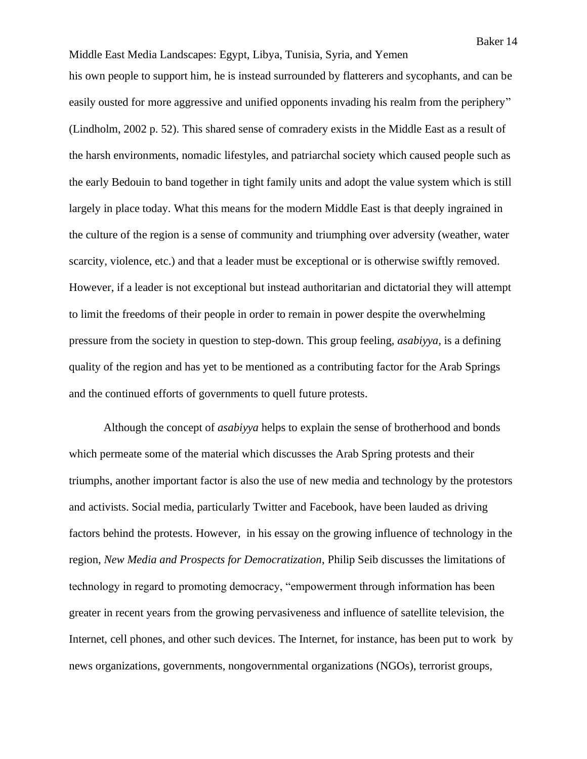Middle East Media Landscapes: Egypt, Libya, Tunisia, Syria, and Yemen his own people to support him, he is instead surrounded by flatterers and sycophants, and can be easily ousted for more aggressive and unified opponents invading his realm from the periphery" (Lindholm, 2002 p. 52). This shared sense of comradery exists in the Middle East as a result of the harsh environments, nomadic lifestyles, and patriarchal society which caused people such as the early Bedouin to band together in tight family units and adopt the value system which is still largely in place today. What this means for the modern Middle East is that deeply ingrained in the culture of the region is a sense of community and triumphing over adversity (weather, water scarcity, violence, etc.) and that a leader must be exceptional or is otherwise swiftly removed. However, if a leader is not exceptional but instead authoritarian and dictatorial they will attempt to limit the freedoms of their people in order to remain in power despite the overwhelming pressure from the society in question to step-down. This group feeling, *asabiyya,* is a defining quality of the region and has yet to be mentioned as a contributing factor for the Arab Springs and the continued efforts of governments to quell future protests.

Although the concept of *asabiyya* helps to explain the sense of brotherhood and bonds which permeate some of the material which discusses the Arab Spring protests and their triumphs, another important factor is also the use of new media and technology by the protestors and activists. Social media, particularly Twitter and Facebook, have been lauded as driving factors behind the protests. However, in his essay on the growing influence of technology in the region, *New Media and Prospects for Democratization*, Philip Seib discusses the limitations of technology in regard to promoting democracy, "empowerment through information has been greater in recent years from the growing pervasiveness and influence of satellite television, the Internet, cell phones, and other such devices. The Internet, for instance, has been put to work by news organizations, governments, nongovernmental organizations (NGOs), terrorist groups,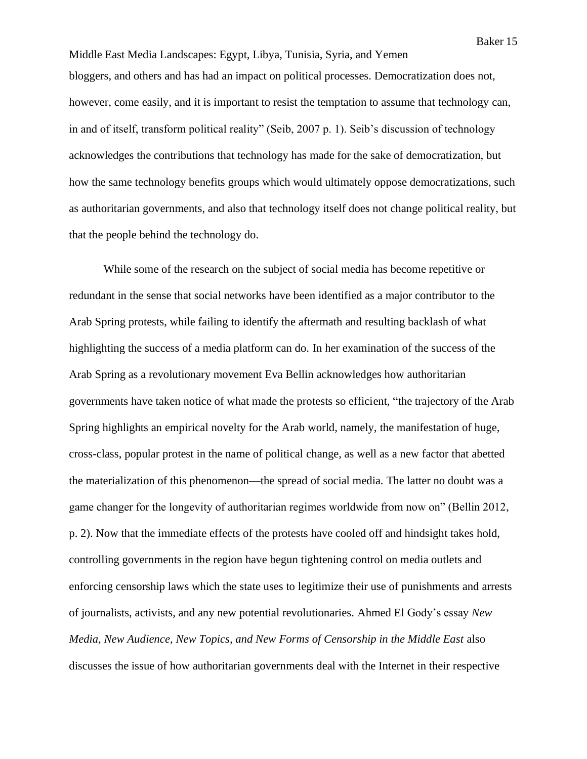Middle East Media Landscapes: Egypt, Libya, Tunisia, Syria, and Yemen bloggers, and others and has had an impact on political processes. Democratization does not, however, come easily, and it is important to resist the temptation to assume that technology can, in and of itself, transform political reality" (Seib, 2007 p. 1). Seib's discussion of technology acknowledges the contributions that technology has made for the sake of democratization, but how the same technology benefits groups which would ultimately oppose democratizations, such as authoritarian governments, and also that technology itself does not change political reality, but that the people behind the technology do.

While some of the research on the subject of social media has become repetitive or redundant in the sense that social networks have been identified as a major contributor to the Arab Spring protests, while failing to identify the aftermath and resulting backlash of what highlighting the success of a media platform can do. In her examination of the success of the Arab Spring as a revolutionary movement Eva Bellin acknowledges how authoritarian governments have taken notice of what made the protests so efficient, "the trajectory of the Arab Spring highlights an empirical novelty for the Arab world, namely, the manifestation of huge, cross-class, popular protest in the name of political change, as well as a new factor that abetted the materialization of this phenomenon—the spread of social media. The latter no doubt was a game changer for the longevity of authoritarian regimes worldwide from now on" (Bellin 2012, p. 2). Now that the immediate effects of the protests have cooled off and hindsight takes hold, controlling governments in the region have begun tightening control on media outlets and enforcing censorship laws which the state uses to legitimize their use of punishments and arrests of journalists, activists, and any new potential revolutionaries. Ahmed El Gody's essay *New Media, New Audience, New Topics, and New Forms of Censorship in the Middle East* also discusses the issue of how authoritarian governments deal with the Internet in their respective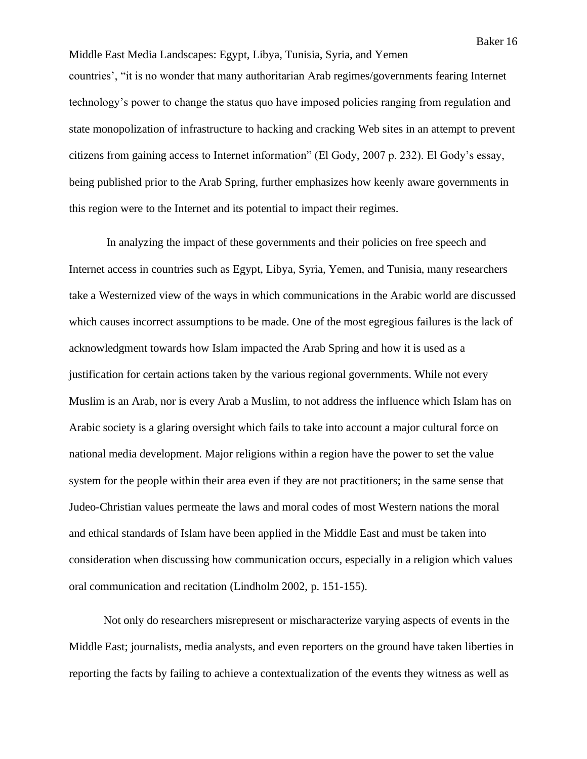Middle East Media Landscapes: Egypt, Libya, Tunisia, Syria, and Yemen countries', "it is no wonder that many authoritarian Arab regimes/governments fearing Internet technology's power to change the status quo have imposed policies ranging from regulation and state monopolization of infrastructure to hacking and cracking Web sites in an attempt to prevent citizens from gaining access to Internet information" (El Gody, 2007 p. 232). El Gody's essay, being published prior to the Arab Spring, further emphasizes how keenly aware governments in this region were to the Internet and its potential to impact their regimes.

In analyzing the impact of these governments and their policies on free speech and Internet access in countries such as Egypt, Libya, Syria, Yemen, and Tunisia, many researchers take a Westernized view of the ways in which communications in the Arabic world are discussed which causes incorrect assumptions to be made. One of the most egregious failures is the lack of acknowledgment towards how Islam impacted the Arab Spring and how it is used as a justification for certain actions taken by the various regional governments. While not every Muslim is an Arab, nor is every Arab a Muslim, to not address the influence which Islam has on Arabic society is a glaring oversight which fails to take into account a major cultural force on national media development. Major religions within a region have the power to set the value system for the people within their area even if they are not practitioners; in the same sense that Judeo-Christian values permeate the laws and moral codes of most Western nations the moral and ethical standards of Islam have been applied in the Middle East and must be taken into consideration when discussing how communication occurs, especially in a religion which values oral communication and recitation (Lindholm 2002, p. 151-155).

Not only do researchers misrepresent or mischaracterize varying aspects of events in the Middle East; journalists, media analysts, and even reporters on the ground have taken liberties in reporting the facts by failing to achieve a contextualization of the events they witness as well as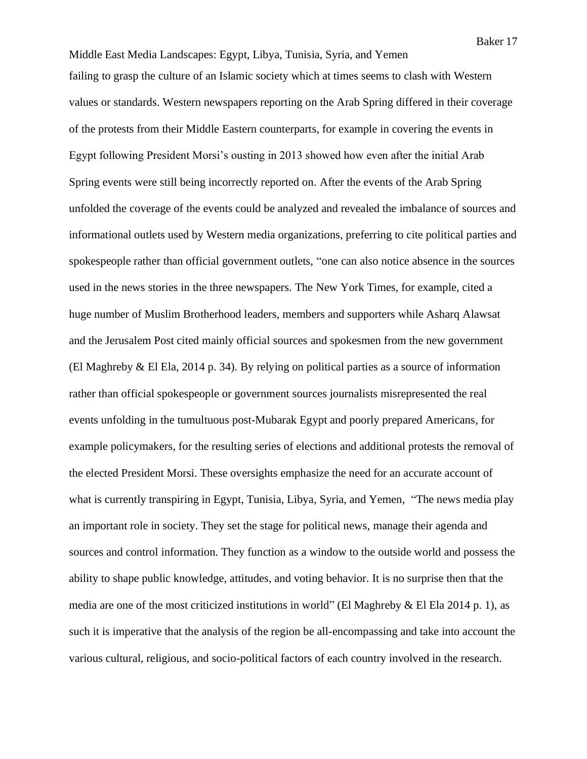Middle East Media Landscapes: Egypt, Libya, Tunisia, Syria, and Yemen failing to grasp the culture of an Islamic society which at times seems to clash with Western values or standards. Western newspapers reporting on the Arab Spring differed in their coverage of the protests from their Middle Eastern counterparts, for example in covering the events in Egypt following President Morsi's ousting in 2013 showed how even after the initial Arab Spring events were still being incorrectly reported on. After the events of the Arab Spring unfolded the coverage of the events could be analyzed and revealed the imbalance of sources and informational outlets used by Western media organizations, preferring to cite political parties and spokespeople rather than official government outlets, "one can also notice absence in the sources used in the news stories in the three newspapers. The New York Times, for example, cited a huge number of Muslim Brotherhood leaders, members and supporters while Asharq Alawsat and the Jerusalem Post cited mainly official sources and spokesmen from the new government (El Maghreby & El Ela, 2014 p. 34). By relying on political parties as a source of information rather than official spokespeople or government sources journalists misrepresented the real events unfolding in the tumultuous post-Mubarak Egypt and poorly prepared Americans, for example policymakers, for the resulting series of elections and additional protests the removal of the elected President Morsi. These oversights emphasize the need for an accurate account of what is currently transpiring in Egypt, Tunisia, Libya, Syria, and Yemen, "The news media play an important role in society. They set the stage for political news, manage their agenda and sources and control information. They function as a window to the outside world and possess the ability to shape public knowledge, attitudes, and voting behavior. It is no surprise then that the media are one of the most criticized institutions in world" (El Maghreby & El Ela 2014 p. 1), as such it is imperative that the analysis of the region be all-encompassing and take into account the various cultural, religious, and socio-political factors of each country involved in the research.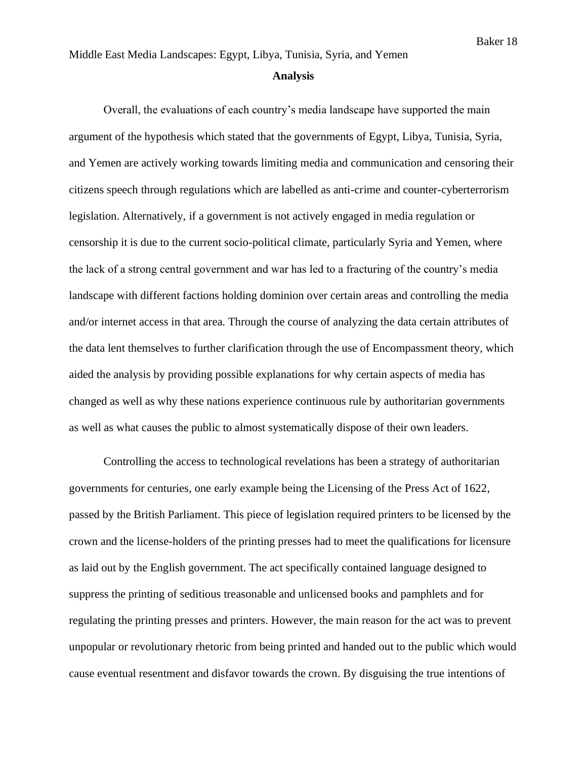#### **Analysis**

Overall, the evaluations of each country's media landscape have supported the main argument of the hypothesis which stated that the governments of Egypt, Libya, Tunisia, Syria, and Yemen are actively working towards limiting media and communication and censoring their citizens speech through regulations which are labelled as anti-crime and counter-cyberterrorism legislation. Alternatively, if a government is not actively engaged in media regulation or censorship it is due to the current socio-political climate, particularly Syria and Yemen, where the lack of a strong central government and war has led to a fracturing of the country's media landscape with different factions holding dominion over certain areas and controlling the media and/or internet access in that area. Through the course of analyzing the data certain attributes of the data lent themselves to further clarification through the use of Encompassment theory, which aided the analysis by providing possible explanations for why certain aspects of media has changed as well as why these nations experience continuous rule by authoritarian governments as well as what causes the public to almost systematically dispose of their own leaders.

Controlling the access to technological revelations has been a strategy of authoritarian governments for centuries, one early example being the Licensing of the Press Act of 1622, passed by the British Parliament. This piece of legislation required printers to be licensed by the crown and the license-holders of the printing presses had to meet the qualifications for licensure as laid out by the English government. The act specifically contained language designed to suppress the printing of seditious treasonable and unlicensed books and pamphlets and for regulating the printing presses and printers. However, the main reason for the act was to prevent unpopular or revolutionary rhetoric from being printed and handed out to the public which would cause eventual resentment and disfavor towards the crown. By disguising the true intentions of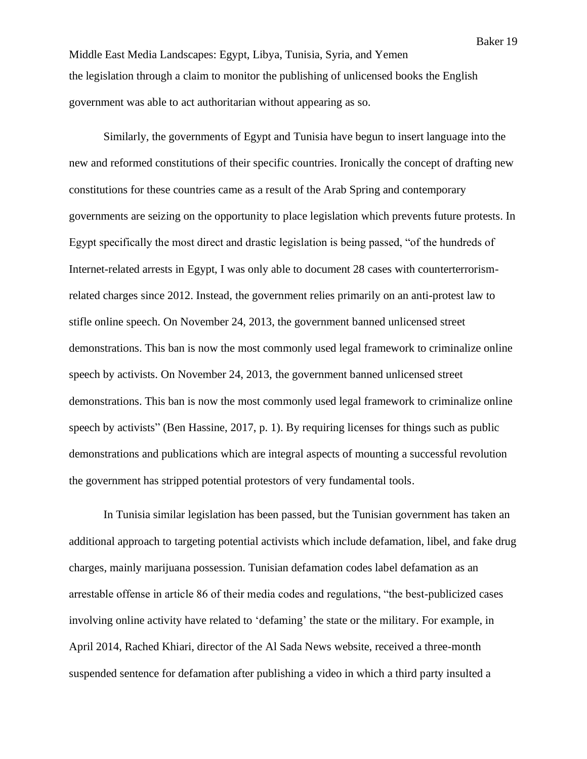Middle East Media Landscapes: Egypt, Libya, Tunisia, Syria, and Yemen the legislation through a claim to monitor the publishing of unlicensed books the English government was able to act authoritarian without appearing as so.

Similarly, the governments of Egypt and Tunisia have begun to insert language into the new and reformed constitutions of their specific countries. Ironically the concept of drafting new constitutions for these countries came as a result of the Arab Spring and contemporary governments are seizing on the opportunity to place legislation which prevents future protests. In Egypt specifically the most direct and drastic legislation is being passed, "of the hundreds of Internet-related arrests in Egypt, I was only able to document 28 cases with counterterrorismrelated charges since 2012. Instead, the government relies primarily on an anti-protest law to stifle online speech. On November 24, 2013, the government banned unlicensed street demonstrations. This ban is now the most commonly used legal framework to criminalize online speech by activists. On November 24, 2013, the government banned unlicensed street demonstrations. This ban is now the most commonly used legal framework to criminalize online speech by activists" (Ben Hassine, 2017, p. 1). By requiring licenses for things such as public demonstrations and publications which are integral aspects of mounting a successful revolution the government has stripped potential protestors of very fundamental tools.

In Tunisia similar legislation has been passed, but the Tunisian government has taken an additional approach to targeting potential activists which include defamation, libel, and fake drug charges, mainly marijuana possession. Tunisian defamation codes label defamation as an arrestable offense in article 86 of their media codes and regulations, "the best-publicized cases involving online activity have related to 'defaming' the state or the military. For example, in April 2014, Rached Khiari, director of the Al Sada News website, received a three-month suspended sentence for defamation after publishing a video in which a third party insulted a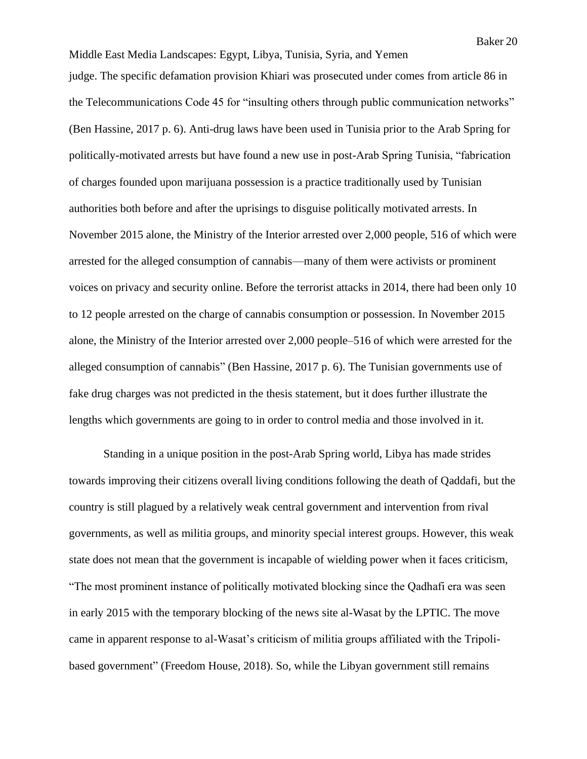Middle East Media Landscapes: Egypt, Libya, Tunisia, Syria, and Yemen judge. The specific defamation provision Khiari was prosecuted under comes from article 86 in the Telecommunications Code 45 for "insulting others through public communication networks" (Ben Hassine, 2017 p. 6). Anti-drug laws have been used in Tunisia prior to the Arab Spring for politically-motivated arrests but have found a new use in post-Arab Spring Tunisia, "fabrication of charges founded upon marijuana possession is a practice traditionally used by Tunisian authorities both before and after the uprisings to disguise politically motivated arrests. In November 2015 alone, the Ministry of the Interior arrested over 2,000 people, 516 of which were arrested for the alleged consumption of cannabis—many of them were activists or prominent voices on privacy and security online. Before the terrorist attacks in 2014, there had been only 10 to 12 people arrested on the charge of cannabis consumption or possession. In November 2015 alone, the Ministry of the Interior arrested over 2,000 people–516 of which were arrested for the alleged consumption of cannabis" (Ben Hassine, 2017 p. 6). The Tunisian governments use of fake drug charges was not predicted in the thesis statement, but it does further illustrate the lengths which governments are going to in order to control media and those involved in it.

Standing in a unique position in the post-Arab Spring world, Libya has made strides towards improving their citizens overall living conditions following the death of Qaddafi, but the country is still plagued by a relatively weak central government and intervention from rival governments, as well as militia groups, and minority special interest groups. However, this weak state does not mean that the government is incapable of wielding power when it faces criticism, "The most prominent instance of politically motivated blocking since the Qadhafi era was seen in early 2015 with the temporary blocking of the news site al-Wasat by the LPTIC. The move came in apparent response to al-Wasat's criticism of militia groups affiliated with the Tripolibased government" (Freedom House, 2018). So, while the Libyan government still remains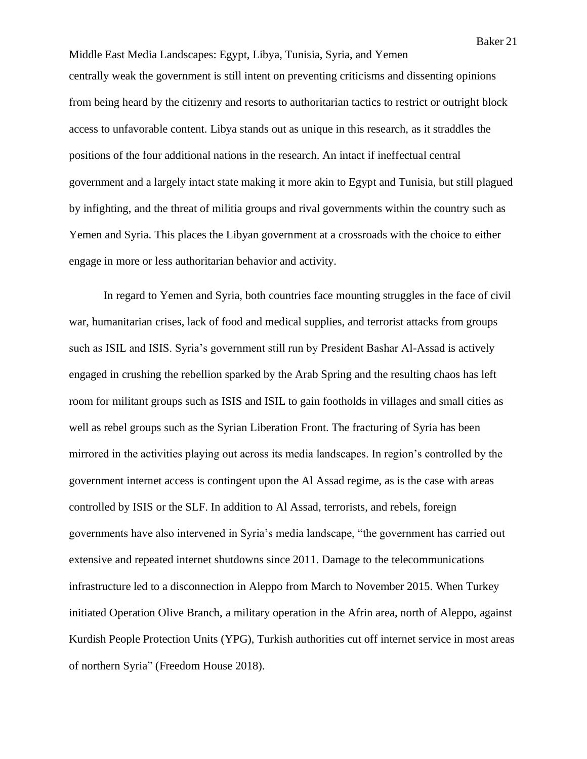Middle East Media Landscapes: Egypt, Libya, Tunisia, Syria, and Yemen centrally weak the government is still intent on preventing criticisms and dissenting opinions from being heard by the citizenry and resorts to authoritarian tactics to restrict or outright block access to unfavorable content. Libya stands out as unique in this research, as it straddles the positions of the four additional nations in the research. An intact if ineffectual central government and a largely intact state making it more akin to Egypt and Tunisia, but still plagued by infighting, and the threat of militia groups and rival governments within the country such as Yemen and Syria. This places the Libyan government at a crossroads with the choice to either engage in more or less authoritarian behavior and activity.

In regard to Yemen and Syria, both countries face mounting struggles in the face of civil war, humanitarian crises, lack of food and medical supplies, and terrorist attacks from groups such as ISIL and ISIS. Syria's government still run by President Bashar Al-Assad is actively engaged in crushing the rebellion sparked by the Arab Spring and the resulting chaos has left room for militant groups such as ISIS and ISIL to gain footholds in villages and small cities as well as rebel groups such as the Syrian Liberation Front. The fracturing of Syria has been mirrored in the activities playing out across its media landscapes. In region's controlled by the government internet access is contingent upon the Al Assad regime, as is the case with areas controlled by ISIS or the SLF. In addition to Al Assad, terrorists, and rebels, foreign governments have also intervened in Syria's media landscape, "the government has carried out extensive and repeated internet shutdowns since 2011. Damage to the telecommunications infrastructure led to a disconnection in Aleppo from March to November 2015. When Turkey initiated Operation Olive Branch, a military operation in the Afrin area, north of Aleppo, against Kurdish People Protection Units (YPG), Turkish authorities cut off internet service in most areas of northern Syria" (Freedom House 2018).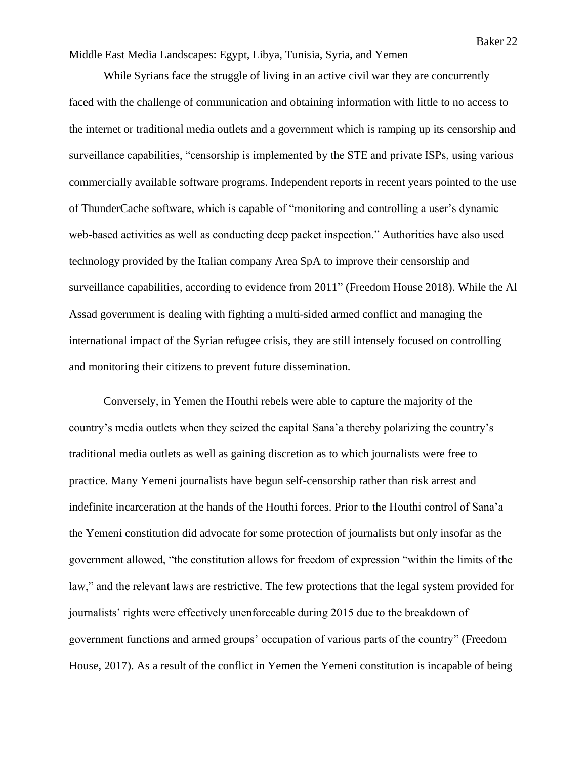While Syrians face the struggle of living in an active civil war they are concurrently faced with the challenge of communication and obtaining information with little to no access to the internet or traditional media outlets and a government which is ramping up its censorship and surveillance capabilities, "censorship is implemented by the STE and private ISPs, using various commercially available software programs. Independent reports in recent years pointed to the use of ThunderCache software, which is capable of "monitoring and controlling a user's dynamic web-based activities as well as conducting deep packet inspection." Authorities have also used technology provided by the Italian company Area SpA to improve their censorship and surveillance capabilities, according to evidence from 2011" (Freedom House 2018). While the Al Assad government is dealing with fighting a multi-sided armed conflict and managing the international impact of the Syrian refugee crisis, they are still intensely focused on controlling and monitoring their citizens to prevent future dissemination.

Conversely, in Yemen the Houthi rebels were able to capture the majority of the country's media outlets when they seized the capital Sana'a thereby polarizing the country's traditional media outlets as well as gaining discretion as to which journalists were free to practice. Many Yemeni journalists have begun self-censorship rather than risk arrest and indefinite incarceration at the hands of the Houthi forces. Prior to the Houthi control of Sana'a the Yemeni constitution did advocate for some protection of journalists but only insofar as the government allowed, "the constitution allows for freedom of expression "within the limits of the law," and the relevant laws are restrictive. The few protections that the legal system provided for journalists' rights were effectively unenforceable during 2015 due to the breakdown of government functions and armed groups' occupation of various parts of the country" (Freedom House, 2017). As a result of the conflict in Yemen the Yemeni constitution is incapable of being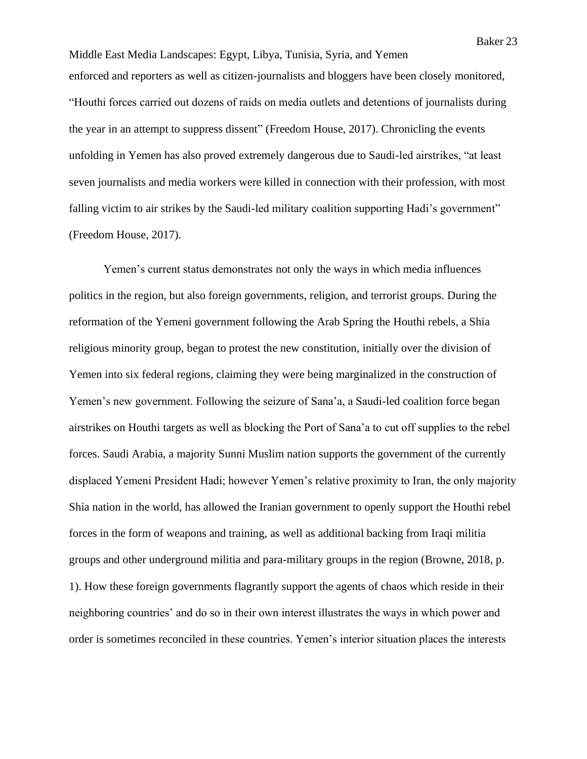Middle East Media Landscapes: Egypt, Libya, Tunisia, Syria, and Yemen enforced and reporters as well as citizen-journalists and bloggers have been closely monitored, "Houthi forces carried out dozens of raids on media outlets and detentions of journalists during the year in an attempt to suppress dissent" (Freedom House, 2017). Chronicling the events unfolding in Yemen has also proved extremely dangerous due to Saudi-led airstrikes, "at least seven journalists and media workers were killed in connection with their profession, with most falling victim to air strikes by the Saudi-led military coalition supporting Hadi's government" (Freedom House, 2017).

Yemen's current status demonstrates not only the ways in which media influences politics in the region, but also foreign governments, religion, and terrorist groups. During the reformation of the Yemeni government following the Arab Spring the Houthi rebels, a Shia religious minority group, began to protest the new constitution, initially over the division of Yemen into six federal regions, claiming they were being marginalized in the construction of Yemen's new government. Following the seizure of Sana'a, a Saudi-led coalition force began airstrikes on Houthi targets as well as blocking the Port of Sana'a to cut off supplies to the rebel forces. Saudi Arabia, a majority Sunni Muslim nation supports the government of the currently displaced Yemeni President Hadi; however Yemen's relative proximity to Iran, the only majority Shia nation in the world, has allowed the Iranian government to openly support the Houthi rebel forces in the form of weapons and training, as well as additional backing from Iraqi militia groups and other underground militia and para-military groups in the region (Browne, 2018, p. 1). How these foreign governments flagrantly support the agents of chaos which reside in their neighboring countries' and do so in their own interest illustrates the ways in which power and order is sometimes reconciled in these countries. Yemen's interior situation places the interests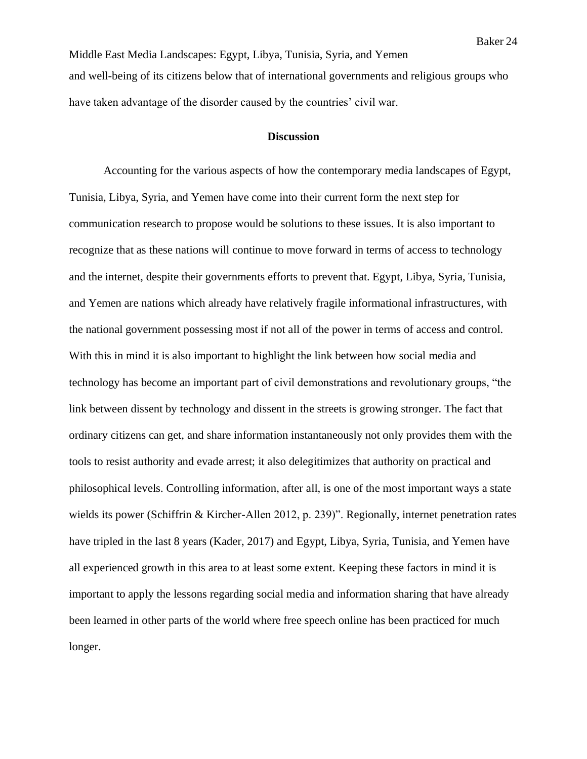Middle East Media Landscapes: Egypt, Libya, Tunisia, Syria, and Yemen and well-being of its citizens below that of international governments and religious groups who have taken advantage of the disorder caused by the countries' civil war.

#### **Discussion**

Accounting for the various aspects of how the contemporary media landscapes of Egypt, Tunisia, Libya, Syria, and Yemen have come into their current form the next step for communication research to propose would be solutions to these issues. It is also important to recognize that as these nations will continue to move forward in terms of access to technology and the internet, despite their governments efforts to prevent that. Egypt, Libya, Syria, Tunisia, and Yemen are nations which already have relatively fragile informational infrastructures, with the national government possessing most if not all of the power in terms of access and control. With this in mind it is also important to highlight the link between how social media and technology has become an important part of civil demonstrations and revolutionary groups, "the link between dissent by technology and dissent in the streets is growing stronger. The fact that ordinary citizens can get, and share information instantaneously not only provides them with the tools to resist authority and evade arrest; it also delegitimizes that authority on practical and philosophical levels. Controlling information, after all, is one of the most important ways a state wields its power (Schiffrin & Kircher-Allen 2012, p. 239)". Regionally, internet penetration rates have tripled in the last 8 years (Kader, 2017) and Egypt, Libya, Syria, Tunisia, and Yemen have all experienced growth in this area to at least some extent. Keeping these factors in mind it is important to apply the lessons regarding social media and information sharing that have already been learned in other parts of the world where free speech online has been practiced for much longer.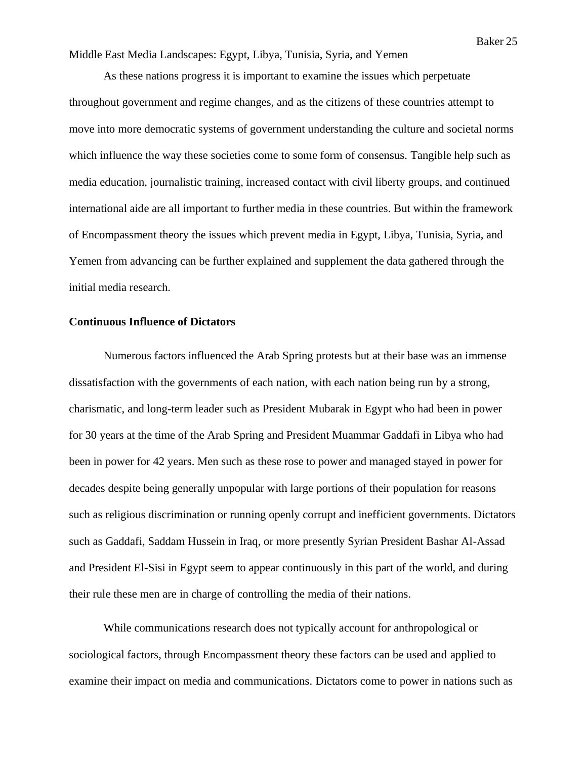As these nations progress it is important to examine the issues which perpetuate throughout government and regime changes, and as the citizens of these countries attempt to move into more democratic systems of government understanding the culture and societal norms which influence the way these societies come to some form of consensus. Tangible help such as media education, journalistic training, increased contact with civil liberty groups, and continued international aide are all important to further media in these countries. But within the framework of Encompassment theory the issues which prevent media in Egypt, Libya, Tunisia, Syria, and Yemen from advancing can be further explained and supplement the data gathered through the initial media research.

## **Continuous Influence of Dictators**

Numerous factors influenced the Arab Spring protests but at their base was an immense dissatisfaction with the governments of each nation, with each nation being run by a strong, charismatic, and long-term leader such as President Mubarak in Egypt who had been in power for 30 years at the time of the Arab Spring and President Muammar Gaddafi in Libya who had been in power for 42 years. Men such as these rose to power and managed stayed in power for decades despite being generally unpopular with large portions of their population for reasons such as religious discrimination or running openly corrupt and inefficient governments. Dictators such as Gaddafi, Saddam Hussein in Iraq, or more presently Syrian President Bashar Al-Assad and President El-Sisi in Egypt seem to appear continuously in this part of the world, and during their rule these men are in charge of controlling the media of their nations.

While communications research does not typically account for anthropological or sociological factors, through Encompassment theory these factors can be used and applied to examine their impact on media and communications. Dictators come to power in nations such as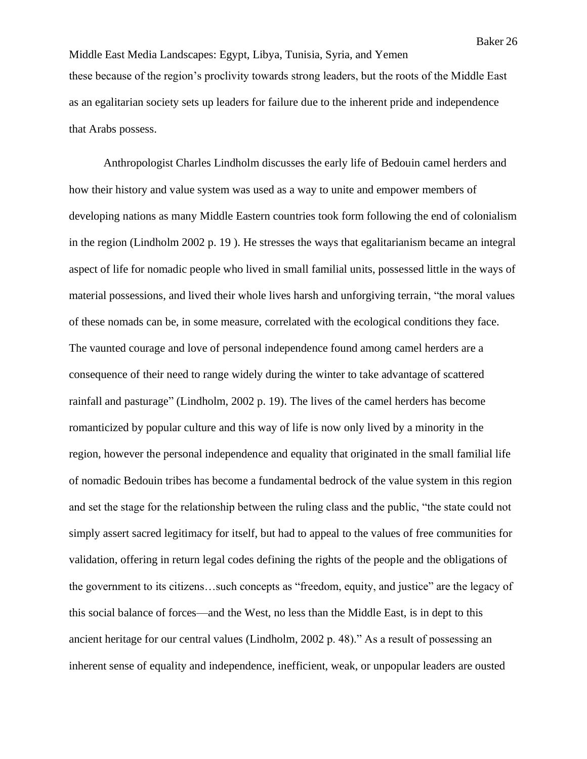Middle East Media Landscapes: Egypt, Libya, Tunisia, Syria, and Yemen these because of the region's proclivity towards strong leaders, but the roots of the Middle East as an egalitarian society sets up leaders for failure due to the inherent pride and independence that Arabs possess.

Anthropologist Charles Lindholm discusses the early life of Bedouin camel herders and how their history and value system was used as a way to unite and empower members of developing nations as many Middle Eastern countries took form following the end of colonialism in the region (Lindholm 2002 p. 19 ). He stresses the ways that egalitarianism became an integral aspect of life for nomadic people who lived in small familial units, possessed little in the ways of material possessions, and lived their whole lives harsh and unforgiving terrain, "the moral values of these nomads can be, in some measure, correlated with the ecological conditions they face. The vaunted courage and love of personal independence found among camel herders are a consequence of their need to range widely during the winter to take advantage of scattered rainfall and pasturage" (Lindholm, 2002 p. 19). The lives of the camel herders has become romanticized by popular culture and this way of life is now only lived by a minority in the region, however the personal independence and equality that originated in the small familial life of nomadic Bedouin tribes has become a fundamental bedrock of the value system in this region and set the stage for the relationship between the ruling class and the public, "the state could not simply assert sacred legitimacy for itself, but had to appeal to the values of free communities for validation, offering in return legal codes defining the rights of the people and the obligations of the government to its citizens…such concepts as "freedom, equity, and justice" are the legacy of this social balance of forces—and the West, no less than the Middle East, is in dept to this ancient heritage for our central values (Lindholm, 2002 p. 48)." As a result of possessing an inherent sense of equality and independence, inefficient, weak, or unpopular leaders are ousted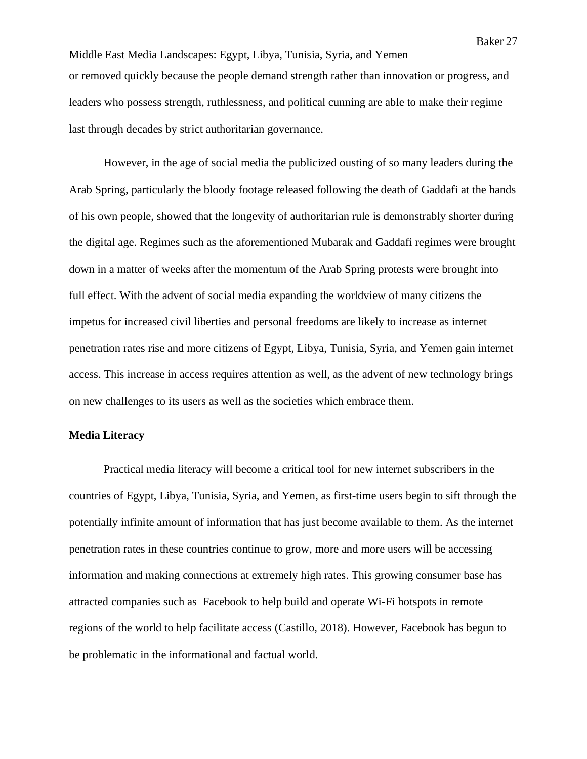Middle East Media Landscapes: Egypt, Libya, Tunisia, Syria, and Yemen or removed quickly because the people demand strength rather than innovation or progress, and leaders who possess strength, ruthlessness, and political cunning are able to make their regime last through decades by strict authoritarian governance.

However, in the age of social media the publicized ousting of so many leaders during the Arab Spring, particularly the bloody footage released following the death of Gaddafi at the hands of his own people, showed that the longevity of authoritarian rule is demonstrably shorter during the digital age. Regimes such as the aforementioned Mubarak and Gaddafi regimes were brought down in a matter of weeks after the momentum of the Arab Spring protests were brought into full effect. With the advent of social media expanding the worldview of many citizens the impetus for increased civil liberties and personal freedoms are likely to increase as internet penetration rates rise and more citizens of Egypt, Libya, Tunisia, Syria, and Yemen gain internet access. This increase in access requires attention as well, as the advent of new technology brings on new challenges to its users as well as the societies which embrace them.

#### **Media Literacy**

Practical media literacy will become a critical tool for new internet subscribers in the countries of Egypt, Libya, Tunisia, Syria, and Yemen, as first-time users begin to sift through the potentially infinite amount of information that has just become available to them. As the internet penetration rates in these countries continue to grow, more and more users will be accessing information and making connections at extremely high rates. This growing consumer base has attracted companies such as Facebook to help build and operate Wi-Fi hotspots in remote regions of the world to help facilitate access (Castillo, 2018). However, Facebook has begun to be problematic in the informational and factual world.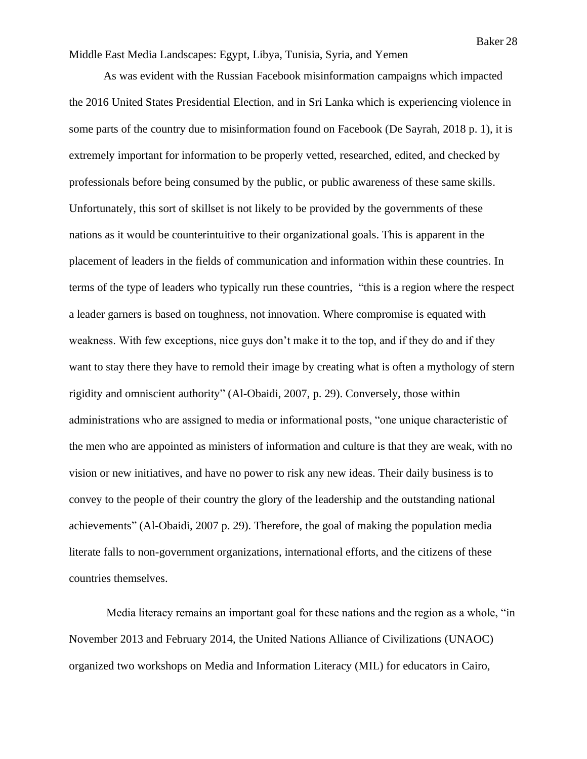As was evident with the Russian Facebook misinformation campaigns which impacted the 2016 United States Presidential Election, and in Sri Lanka which is experiencing violence in some parts of the country due to misinformation found on Facebook (De Sayrah, 2018 p. 1), it is extremely important for information to be properly vetted, researched, edited, and checked by professionals before being consumed by the public, or public awareness of these same skills. Unfortunately, this sort of skillset is not likely to be provided by the governments of these nations as it would be counterintuitive to their organizational goals. This is apparent in the placement of leaders in the fields of communication and information within these countries. In terms of the type of leaders who typically run these countries, "this is a region where the respect a leader garners is based on toughness, not innovation. Where compromise is equated with weakness. With few exceptions, nice guys don't make it to the top, and if they do and if they want to stay there they have to remold their image by creating what is often a mythology of stern rigidity and omniscient authority" (Al-Obaidi, 2007, p. 29). Conversely, those within administrations who are assigned to media or informational posts, "one unique characteristic of the men who are appointed as ministers of information and culture is that they are weak, with no vision or new initiatives, and have no power to risk any new ideas. Their daily business is to convey to the people of their country the glory of the leadership and the outstanding national achievements" (Al-Obaidi, 2007 p. 29). Therefore, the goal of making the population media literate falls to non-government organizations, international efforts, and the citizens of these countries themselves.

Media literacy remains an important goal for these nations and the region as a whole, "in November 2013 and February 2014, the United Nations Alliance of Civilizations (UNAOC) organized two workshops on Media and Information Literacy (MIL) for educators in Cairo,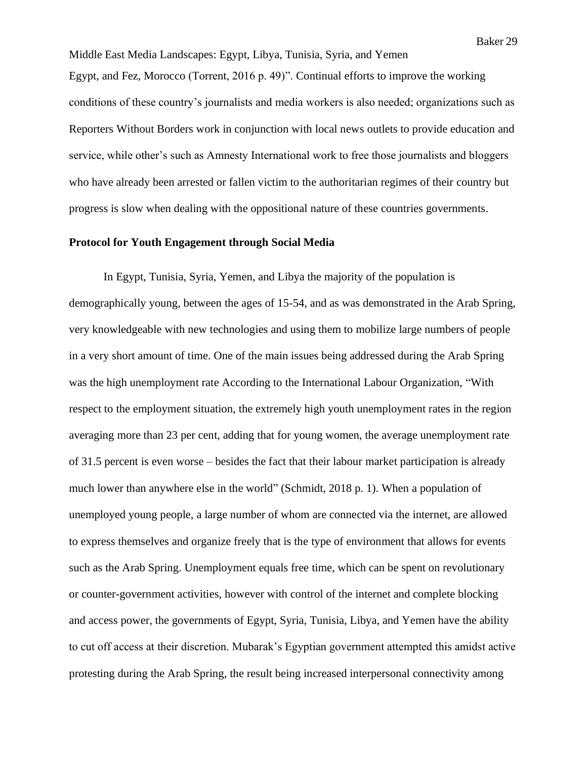Middle East Media Landscapes: Egypt, Libya, Tunisia, Syria, and Yemen Egypt, and Fez, Morocco (Torrent, 2016 p. 49)". Continual efforts to improve the working conditions of these country's journalists and media workers is also needed; organizations such as Reporters Without Borders work in conjunction with local news outlets to provide education and service, while other's such as Amnesty International work to free those journalists and bloggers who have already been arrested or fallen victim to the authoritarian regimes of their country but progress is slow when dealing with the oppositional nature of these countries governments.

#### **Protocol for Youth Engagement through Social Media**

In Egypt, Tunisia, Syria, Yemen, and Libya the majority of the population is demographically young, between the ages of 15-54, and as was demonstrated in the Arab Spring, very knowledgeable with new technologies and using them to mobilize large numbers of people in a very short amount of time. One of the main issues being addressed during the Arab Spring was the high unemployment rate According to the International Labour Organization, "With respect to the employment situation, the extremely high youth unemployment rates in the region averaging more than 23 per cent, adding that for young women, the average unemployment rate of 31.5 percent is even worse – besides the fact that their labour market participation is already much lower than anywhere else in the world" (Schmidt, 2018 p. 1). When a population of unemployed young people, a large number of whom are connected via the internet, are allowed to express themselves and organize freely that is the type of environment that allows for events such as the Arab Spring. Unemployment equals free time, which can be spent on revolutionary or counter-government activities, however with control of the internet and complete blocking and access power, the governments of Egypt, Syria, Tunisia, Libya, and Yemen have the ability to cut off access at their discretion. Mubarak's Egyptian government attempted this amidst active protesting during the Arab Spring, the result being increased interpersonal connectivity among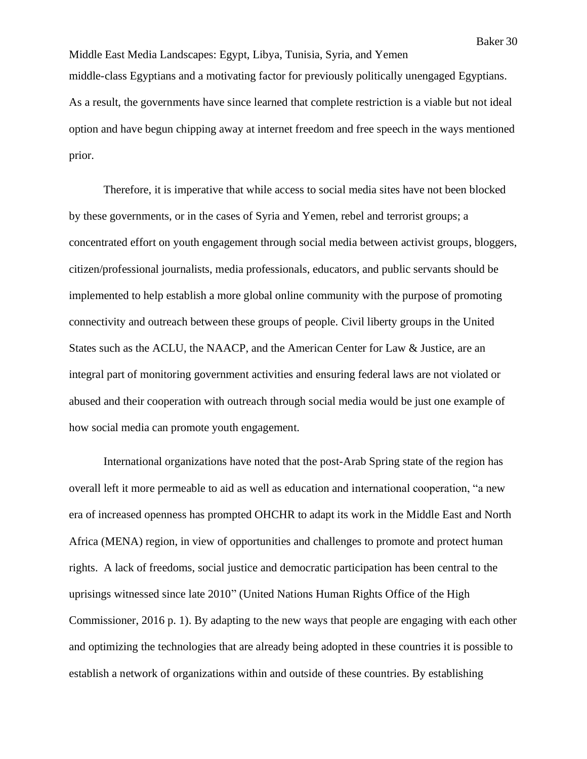Middle East Media Landscapes: Egypt, Libya, Tunisia, Syria, and Yemen middle-class Egyptians and a motivating factor for previously politically unengaged Egyptians. As a result, the governments have since learned that complete restriction is a viable but not ideal option and have begun chipping away at internet freedom and free speech in the ways mentioned prior.

Therefore, it is imperative that while access to social media sites have not been blocked by these governments, or in the cases of Syria and Yemen, rebel and terrorist groups; a concentrated effort on youth engagement through social media between activist groups, bloggers, citizen/professional journalists, media professionals, educators, and public servants should be implemented to help establish a more global online community with the purpose of promoting connectivity and outreach between these groups of people. Civil liberty groups in the United States such as the ACLU, the NAACP, and the American Center for Law & Justice, are an integral part of monitoring government activities and ensuring federal laws are not violated or abused and their cooperation with outreach through social media would be just one example of how social media can promote youth engagement.

International organizations have noted that the post-Arab Spring state of the region has overall left it more permeable to aid as well as education and international cooperation, "a new era of increased openness has prompted OHCHR to adapt its work in the Middle East and North Africa (MENA) region, in view of opportunities and challenges to promote and protect human rights. A lack of freedoms, social justice and democratic participation has been central to the uprisings witnessed since late 2010" (United Nations Human Rights Office of the High Commissioner, 2016 p. 1). By adapting to the new ways that people are engaging with each other and optimizing the technologies that are already being adopted in these countries it is possible to establish a network of organizations within and outside of these countries. By establishing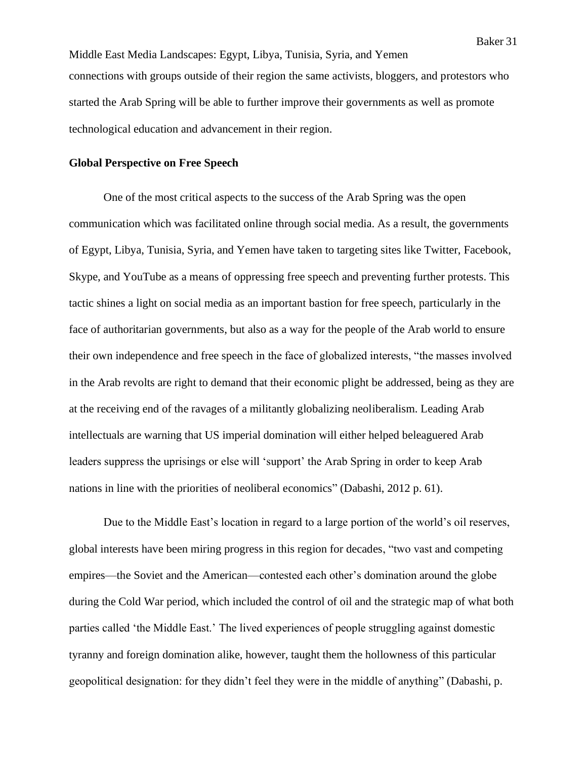Middle East Media Landscapes: Egypt, Libya, Tunisia, Syria, and Yemen connections with groups outside of their region the same activists, bloggers, and protestors who started the Arab Spring will be able to further improve their governments as well as promote technological education and advancement in their region.

#### **Global Perspective on Free Speech**

One of the most critical aspects to the success of the Arab Spring was the open communication which was facilitated online through social media. As a result, the governments of Egypt, Libya, Tunisia, Syria, and Yemen have taken to targeting sites like Twitter, Facebook, Skype, and YouTube as a means of oppressing free speech and preventing further protests. This tactic shines a light on social media as an important bastion for free speech, particularly in the face of authoritarian governments, but also as a way for the people of the Arab world to ensure their own independence and free speech in the face of globalized interests, "the masses involved in the Arab revolts are right to demand that their economic plight be addressed, being as they are at the receiving end of the ravages of a militantly globalizing neoliberalism. Leading Arab intellectuals are warning that US imperial domination will either helped beleaguered Arab leaders suppress the uprisings or else will 'support' the Arab Spring in order to keep Arab nations in line with the priorities of neoliberal economics" (Dabashi, 2012 p. 61).

Due to the Middle East's location in regard to a large portion of the world's oil reserves, global interests have been miring progress in this region for decades, "two vast and competing empires—the Soviet and the American—contested each other's domination around the globe during the Cold War period, which included the control of oil and the strategic map of what both parties called 'the Middle East.' The lived experiences of people struggling against domestic tyranny and foreign domination alike, however, taught them the hollowness of this particular geopolitical designation: for they didn't feel they were in the middle of anything" (Dabashi, p.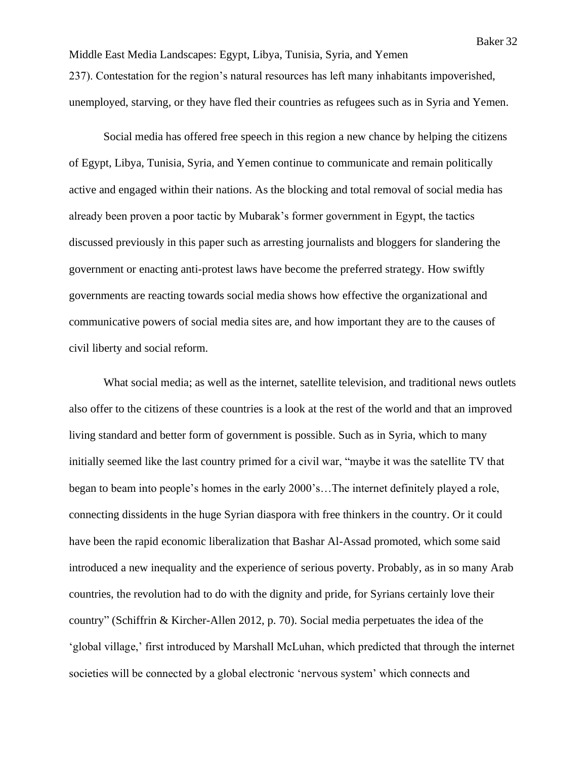Middle East Media Landscapes: Egypt, Libya, Tunisia, Syria, and Yemen 237). Contestation for the region's natural resources has left many inhabitants impoverished, unemployed, starving, or they have fled their countries as refugees such as in Syria and Yemen.

Social media has offered free speech in this region a new chance by helping the citizens of Egypt, Libya, Tunisia, Syria, and Yemen continue to communicate and remain politically active and engaged within their nations. As the blocking and total removal of social media has already been proven a poor tactic by Mubarak's former government in Egypt, the tactics discussed previously in this paper such as arresting journalists and bloggers for slandering the government or enacting anti-protest laws have become the preferred strategy. How swiftly governments are reacting towards social media shows how effective the organizational and communicative powers of social media sites are, and how important they are to the causes of civil liberty and social reform.

What social media; as well as the internet, satellite television, and traditional news outlets also offer to the citizens of these countries is a look at the rest of the world and that an improved living standard and better form of government is possible. Such as in Syria, which to many initially seemed like the last country primed for a civil war, "maybe it was the satellite TV that began to beam into people's homes in the early 2000's…The internet definitely played a role, connecting dissidents in the huge Syrian diaspora with free thinkers in the country. Or it could have been the rapid economic liberalization that Bashar Al-Assad promoted, which some said introduced a new inequality and the experience of serious poverty. Probably, as in so many Arab countries, the revolution had to do with the dignity and pride, for Syrians certainly love their country" (Schiffrin & Kircher-Allen 2012, p. 70). Social media perpetuates the idea of the 'global village,' first introduced by Marshall McLuhan, which predicted that through the internet societies will be connected by a global electronic 'nervous system' which connects and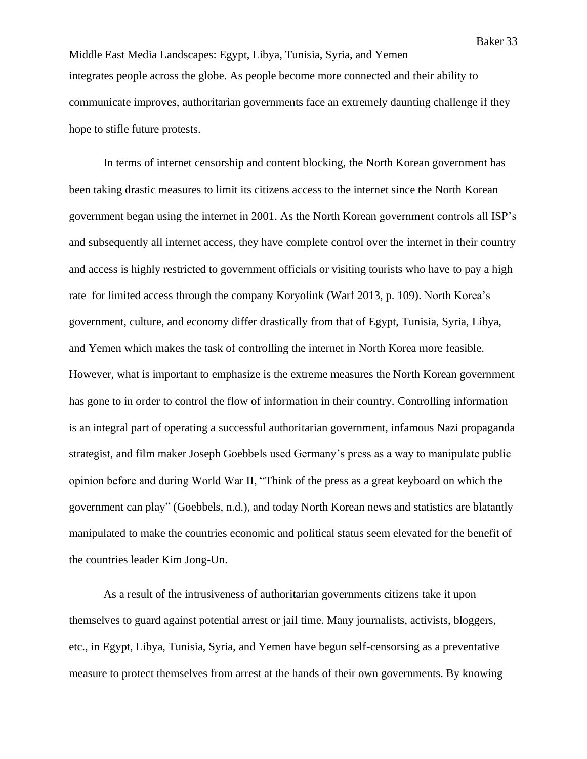Middle East Media Landscapes: Egypt, Libya, Tunisia, Syria, and Yemen integrates people across the globe. As people become more connected and their ability to communicate improves, authoritarian governments face an extremely daunting challenge if they hope to stifle future protests.

In terms of internet censorship and content blocking, the North Korean government has been taking drastic measures to limit its citizens access to the internet since the North Korean government began using the internet in 2001. As the North Korean government controls all ISP's and subsequently all internet access, they have complete control over the internet in their country and access is highly restricted to government officials or visiting tourists who have to pay a high rate for limited access through the company Koryolink (Warf 2013, p. 109). North Korea's government, culture, and economy differ drastically from that of Egypt, Tunisia, Syria, Libya, and Yemen which makes the task of controlling the internet in North Korea more feasible. However, what is important to emphasize is the extreme measures the North Korean government has gone to in order to control the flow of information in their country. Controlling information is an integral part of operating a successful authoritarian government, infamous Nazi propaganda strategist, and film maker Joseph Goebbels used Germany's press as a way to manipulate public opinion before and during World War II, "Think of the press as a great keyboard on which the government can play" (Goebbels, n.d.), and today North Korean news and statistics are blatantly manipulated to make the countries economic and political status seem elevated for the benefit of the countries leader Kim Jong-Un.

As a result of the intrusiveness of authoritarian governments citizens take it upon themselves to guard against potential arrest or jail time. Many journalists, activists, bloggers, etc., in Egypt, Libya, Tunisia, Syria, and Yemen have begun self-censorsing as a preventative measure to protect themselves from arrest at the hands of their own governments. By knowing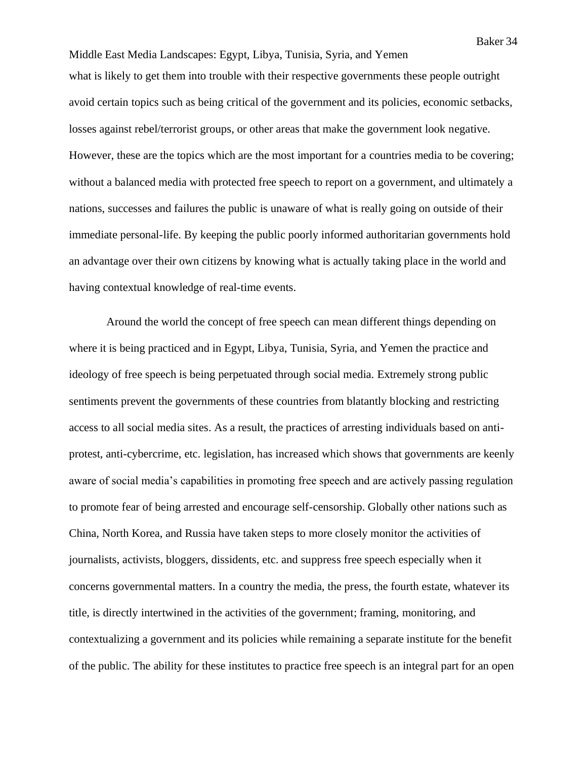Middle East Media Landscapes: Egypt, Libya, Tunisia, Syria, and Yemen what is likely to get them into trouble with their respective governments these people outright avoid certain topics such as being critical of the government and its policies, economic setbacks, losses against rebel/terrorist groups, or other areas that make the government look negative. However, these are the topics which are the most important for a countries media to be covering; without a balanced media with protected free speech to report on a government, and ultimately a nations, successes and failures the public is unaware of what is really going on outside of their immediate personal-life. By keeping the public poorly informed authoritarian governments hold an advantage over their own citizens by knowing what is actually taking place in the world and having contextual knowledge of real-time events.

Around the world the concept of free speech can mean different things depending on where it is being practiced and in Egypt, Libya, Tunisia, Syria, and Yemen the practice and ideology of free speech is being perpetuated through social media. Extremely strong public sentiments prevent the governments of these countries from blatantly blocking and restricting access to all social media sites. As a result, the practices of arresting individuals based on antiprotest, anti-cybercrime, etc. legislation, has increased which shows that governments are keenly aware of social media's capabilities in promoting free speech and are actively passing regulation to promote fear of being arrested and encourage self-censorship. Globally other nations such as China, North Korea, and Russia have taken steps to more closely monitor the activities of journalists, activists, bloggers, dissidents, etc. and suppress free speech especially when it concerns governmental matters. In a country the media, the press, the fourth estate, whatever its title, is directly intertwined in the activities of the government; framing, monitoring, and contextualizing a government and its policies while remaining a separate institute for the benefit of the public. The ability for these institutes to practice free speech is an integral part for an open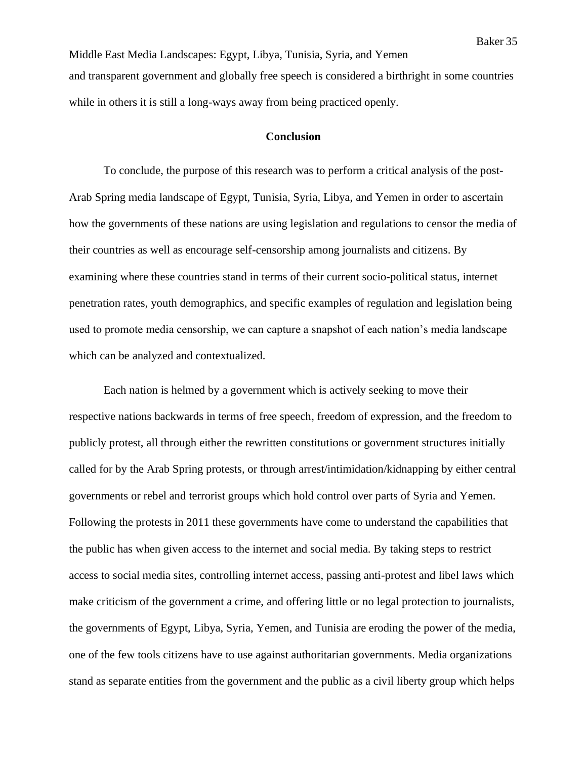Middle East Media Landscapes: Egypt, Libya, Tunisia, Syria, and Yemen and transparent government and globally free speech is considered a birthright in some countries while in others it is still a long-ways away from being practiced openly.

#### **Conclusion**

To conclude, the purpose of this research was to perform a critical analysis of the post-Arab Spring media landscape of Egypt, Tunisia, Syria, Libya, and Yemen in order to ascertain how the governments of these nations are using legislation and regulations to censor the media of their countries as well as encourage self-censorship among journalists and citizens. By examining where these countries stand in terms of their current socio-political status, internet penetration rates, youth demographics, and specific examples of regulation and legislation being used to promote media censorship, we can capture a snapshot of each nation's media landscape which can be analyzed and contextualized.

Each nation is helmed by a government which is actively seeking to move their respective nations backwards in terms of free speech, freedom of expression, and the freedom to publicly protest, all through either the rewritten constitutions or government structures initially called for by the Arab Spring protests, or through arrest/intimidation/kidnapping by either central governments or rebel and terrorist groups which hold control over parts of Syria and Yemen. Following the protests in 2011 these governments have come to understand the capabilities that the public has when given access to the internet and social media. By taking steps to restrict access to social media sites, controlling internet access, passing anti-protest and libel laws which make criticism of the government a crime, and offering little or no legal protection to journalists, the governments of Egypt, Libya, Syria, Yemen, and Tunisia are eroding the power of the media, one of the few tools citizens have to use against authoritarian governments. Media organizations stand as separate entities from the government and the public as a civil liberty group which helps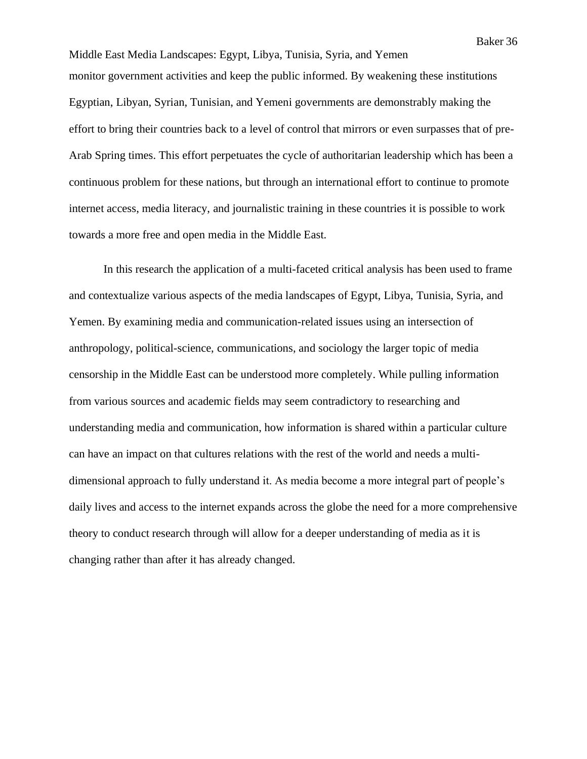Middle East Media Landscapes: Egypt, Libya, Tunisia, Syria, and Yemen monitor government activities and keep the public informed. By weakening these institutions Egyptian, Libyan, Syrian, Tunisian, and Yemeni governments are demonstrably making the effort to bring their countries back to a level of control that mirrors or even surpasses that of pre-Arab Spring times. This effort perpetuates the cycle of authoritarian leadership which has been a continuous problem for these nations, but through an international effort to continue to promote internet access, media literacy, and journalistic training in these countries it is possible to work towards a more free and open media in the Middle East.

In this research the application of a multi-faceted critical analysis has been used to frame and contextualize various aspects of the media landscapes of Egypt, Libya, Tunisia, Syria, and Yemen. By examining media and communication-related issues using an intersection of anthropology, political-science, communications, and sociology the larger topic of media censorship in the Middle East can be understood more completely. While pulling information from various sources and academic fields may seem contradictory to researching and understanding media and communication, how information is shared within a particular culture can have an impact on that cultures relations with the rest of the world and needs a multidimensional approach to fully understand it. As media become a more integral part of people's daily lives and access to the internet expands across the globe the need for a more comprehensive theory to conduct research through will allow for a deeper understanding of media as it is changing rather than after it has already changed.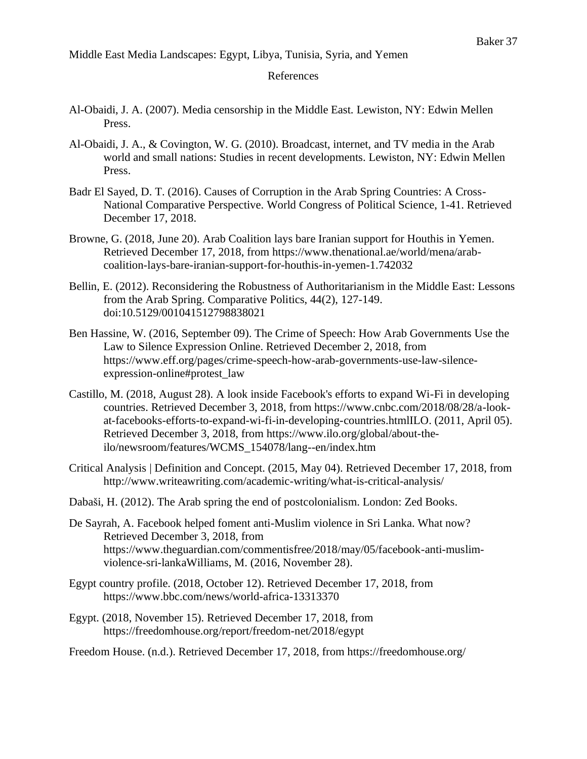### References

- Al-Obaidi, J. A. (2007). Media censorship in the Middle East. Lewiston, NY: Edwin Mellen Press.
- Al-Obaidi, J. A., & Covington, W. G. (2010). Broadcast, internet, and TV media in the Arab world and small nations: Studies in recent developments. Lewiston, NY: Edwin Mellen Press.
- Badr El Sayed, D. T. (2016). Causes of Corruption in the Arab Spring Countries: A Cross-National Comparative Perspective. World Congress of Political Science, 1-41. Retrieved December 17, 2018.
- Browne, G. (2018, June 20). Arab Coalition lays bare Iranian support for Houthis in Yemen. Retrieved December 17, 2018, from https://www.thenational.ae/world/mena/arabcoalition-lays-bare-iranian-support-for-houthis-in-yemen-1.742032
- Bellin, E. (2012). Reconsidering the Robustness of Authoritarianism in the Middle East: Lessons from the Arab Spring. Comparative Politics, 44(2), 127-149. doi:10.5129/001041512798838021
- Ben Hassine, W. (2016, September 09). The Crime of Speech: How Arab Governments Use the Law to Silence Expression Online. Retrieved December 2, 2018, from https://www.eff.org/pages/crime-speech-how-arab-governments-use-law-silenceexpression-online#protest\_law
- Castillo, M. (2018, August 28). A look inside Facebook's efforts to expand Wi-Fi in developing countries. Retrieved December 3, 2018, from https://www.cnbc.com/2018/08/28/a-lookat-facebooks-efforts-to-expand-wi-fi-in-developing-countries.htmlILO. (2011, April 05). Retrieved December 3, 2018, from https://www.ilo.org/global/about-theilo/newsroom/features/WCMS\_154078/lang--en/index.htm
- Critical Analysis | Definition and Concept. (2015, May 04). Retrieved December 17, 2018, from http://www.writeawriting.com/academic-writing/what-is-critical-analysis/
- Dabaši, H. (2012). The Arab spring the end of postcolonialism. London: Zed Books.
- De Sayrah, A. Facebook helped foment anti-Muslim violence in Sri Lanka. What now? Retrieved December 3, 2018, from https://www.theguardian.com/commentisfree/2018/may/05/facebook-anti-muslimviolence-sri-lankaWilliams, M. (2016, November 28).
- Egypt country profile. (2018, October 12). Retrieved December 17, 2018, from https://www.bbc.com/news/world-africa-13313370
- Egypt. (2018, November 15). Retrieved December 17, 2018, from https://freedomhouse.org/report/freedom-net/2018/egypt

Freedom House. (n.d.). Retrieved December 17, 2018, from https://freedomhouse.org/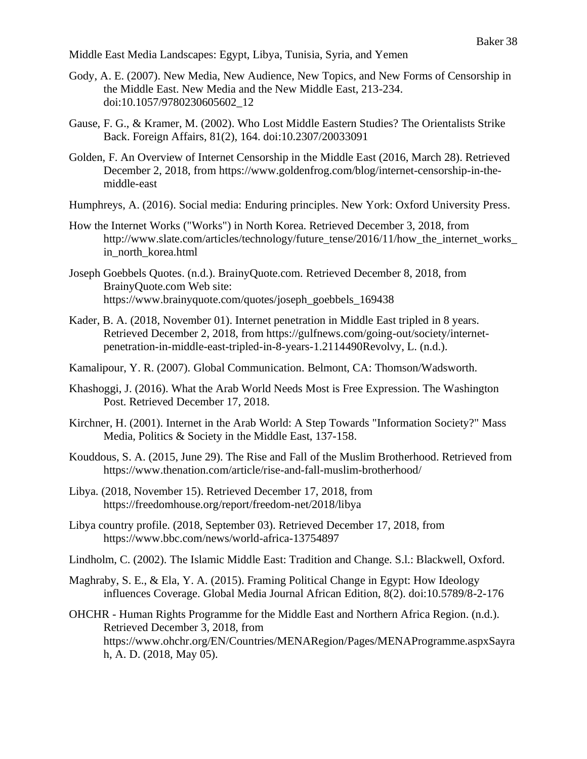- Gody, A. E. (2007). New Media, New Audience, New Topics, and New Forms of Censorship in the Middle East. New Media and the New Middle East, 213-234. doi:10.1057/9780230605602\_12
- Gause, F. G., & Kramer, M. (2002). Who Lost Middle Eastern Studies? The Orientalists Strike Back. Foreign Affairs, 81(2), 164. doi:10.2307/20033091
- Golden, F. An Overview of Internet Censorship in the Middle East (2016, March 28). Retrieved December 2, 2018, from https://www.goldenfrog.com/blog/internet-censorship-in-themiddle-east
- Humphreys, A. (2016). Social media: Enduring principles. New York: Oxford University Press.
- How the Internet Works ("Works") in North Korea. Retrieved December 3, 2018, from http://www.slate.com/articles/technology/future\_tense/2016/11/how\_the\_internet\_works in north korea.html
- Joseph Goebbels Quotes. (n.d.). BrainyQuote.com. Retrieved December 8, 2018, from BrainyQuote.com Web site: https://www.brainyquote.com/quotes/joseph\_goebbels\_169438
- Kader, B. A. (2018, November 01). Internet penetration in Middle East tripled in 8 years. Retrieved December 2, 2018, from https://gulfnews.com/going-out/society/internetpenetration-in-middle-east-tripled-in-8-years-1.2114490Revolvy, L. (n.d.).
- Kamalipour, Y. R. (2007). Global Communication. Belmont, CA: Thomson/Wadsworth.
- Khashoggi, J. (2016). What the Arab World Needs Most is Free Expression. The Washington Post. Retrieved December 17, 2018.
- Kirchner, H. (2001). Internet in the Arab World: A Step Towards "Information Society?" Mass Media, Politics & Society in the Middle East, 137-158.
- Kouddous, S. A. (2015, June 29). The Rise and Fall of the Muslim Brotherhood. Retrieved from https://www.thenation.com/article/rise-and-fall-muslim-brotherhood/
- Libya. (2018, November 15). Retrieved December 17, 2018, from https://freedomhouse.org/report/freedom-net/2018/libya
- Libya country profile. (2018, September 03). Retrieved December 17, 2018, from https://www.bbc.com/news/world-africa-13754897
- Lindholm, C. (2002). The Islamic Middle East: Tradition and Change. S.l.: Blackwell, Oxford.
- Maghraby, S. E., & Ela, Y. A. (2015). Framing Political Change in Egypt: How Ideology influences Coverage. Global Media Journal African Edition, 8(2). doi:10.5789/8-2-176
- OHCHR Human Rights Programme for the Middle East and Northern Africa Region. (n.d.). Retrieved December 3, 2018, from https://www.ohchr.org/EN/Countries/MENARegion/Pages/MENAProgramme.aspxSayra h, A. D. (2018, May 05).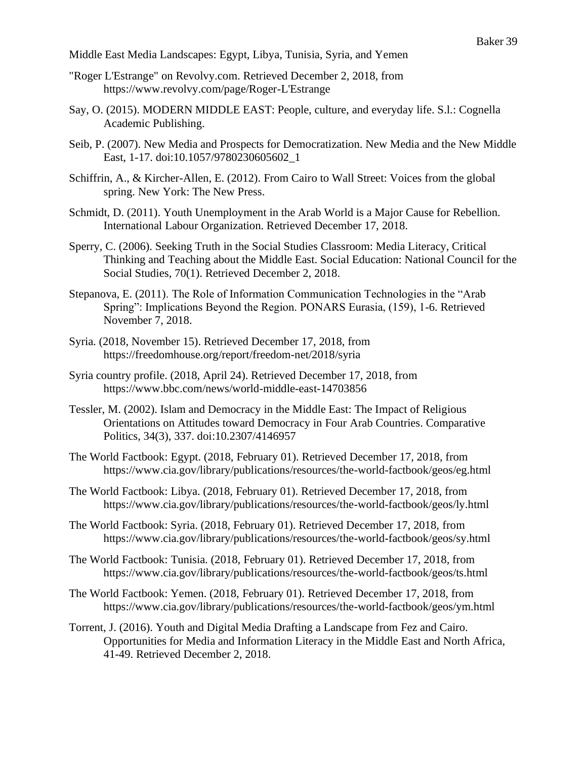- "Roger L'Estrange" on Revolvy.com. Retrieved December 2, 2018, from https://www.revolvy.com/page/Roger-L'Estrange
- Say, O. (2015). MODERN MIDDLE EAST: People, culture, and everyday life. S.l.: Cognella Academic Publishing.
- Seib, P. (2007). New Media and Prospects for Democratization. New Media and the New Middle East, 1-17. doi:10.1057/9780230605602\_1
- Schiffrin, A., & Kircher-Allen, E. (2012). From Cairo to Wall Street: Voices from the global spring. New York: The New Press.
- Schmidt, D. (2011). Youth Unemployment in the Arab World is a Major Cause for Rebellion. International Labour Organization. Retrieved December 17, 2018.
- Sperry, C. (2006). Seeking Truth in the Social Studies Classroom: Media Literacy, Critical Thinking and Teaching about the Middle East. Social Education: National Council for the Social Studies, 70(1). Retrieved December 2, 2018.
- Stepanova, E. (2011). The Role of Information Communication Technologies in the "Arab Spring": Implications Beyond the Region. PONARS Eurasia, (159), 1-6. Retrieved November 7, 2018.
- Syria. (2018, November 15). Retrieved December 17, 2018, from https://freedomhouse.org/report/freedom-net/2018/syria
- Syria country profile. (2018, April 24). Retrieved December 17, 2018, from https://www.bbc.com/news/world-middle-east-14703856
- Tessler, M. (2002). Islam and Democracy in the Middle East: The Impact of Religious Orientations on Attitudes toward Democracy in Four Arab Countries. Comparative Politics, 34(3), 337. doi:10.2307/4146957
- The World Factbook: Egypt. (2018, February 01). Retrieved December 17, 2018, from https://www.cia.gov/library/publications/resources/the-world-factbook/geos/eg.html
- The World Factbook: Libya. (2018, February 01). Retrieved December 17, 2018, from https://www.cia.gov/library/publications/resources/the-world-factbook/geos/ly.html
- The World Factbook: Syria. (2018, February 01). Retrieved December 17, 2018, from https://www.cia.gov/library/publications/resources/the-world-factbook/geos/sy.html
- The World Factbook: Tunisia. (2018, February 01). Retrieved December 17, 2018, from https://www.cia.gov/library/publications/resources/the-world-factbook/geos/ts.html
- The World Factbook: Yemen. (2018, February 01). Retrieved December 17, 2018, from https://www.cia.gov/library/publications/resources/the-world-factbook/geos/ym.html
- Torrent, J. (2016). Youth and Digital Media Drafting a Landscape from Fez and Cairo. Opportunities for Media and Information Literacy in the Middle East and North Africa, 41-49. Retrieved December 2, 2018.